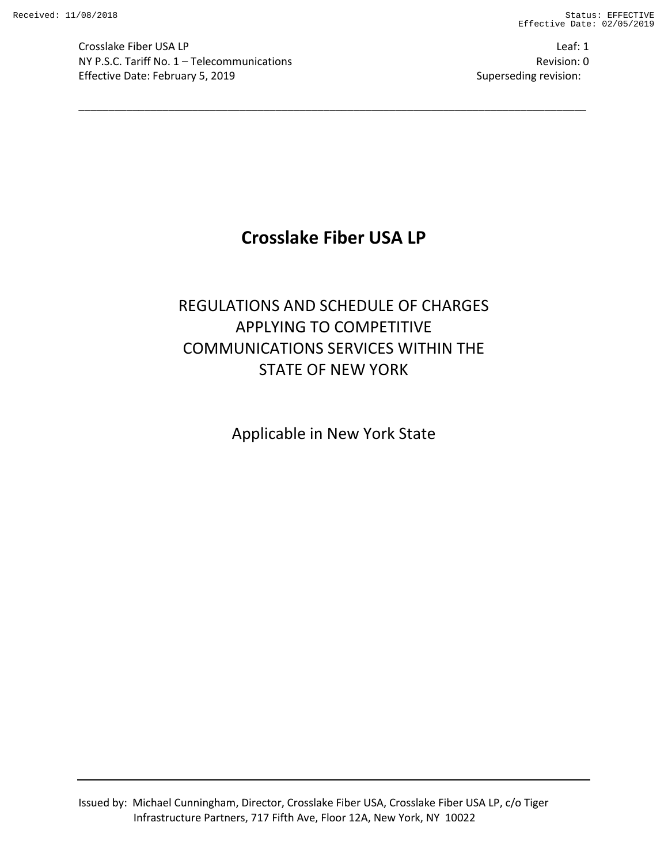**Crosslake Fiber USA LP** Leaf: 1 NY P.S.C. Tariff No. 1 – Telecommunications Revision: 0 Effective Date: February 5, 2019 Superseding revision:

# **Crosslake Fiber USA LP**

\_\_\_\_\_\_\_\_\_\_\_\_\_\_\_\_\_\_\_\_\_\_\_\_\_\_\_\_\_\_\_\_\_\_\_\_\_\_\_\_\_\_\_\_\_\_\_\_\_\_\_\_\_\_\_\_\_\_\_\_\_\_\_\_\_\_\_\_\_\_\_\_\_\_\_\_\_\_\_\_\_\_\_\_\_

# REGULATIONS AND SCHEDULE OF CHARGES APPLYING TO COMPETITIVE COMMUNICATIONS SERVICES WITHIN THE STATE OF NEW YORK

Applicable in New York State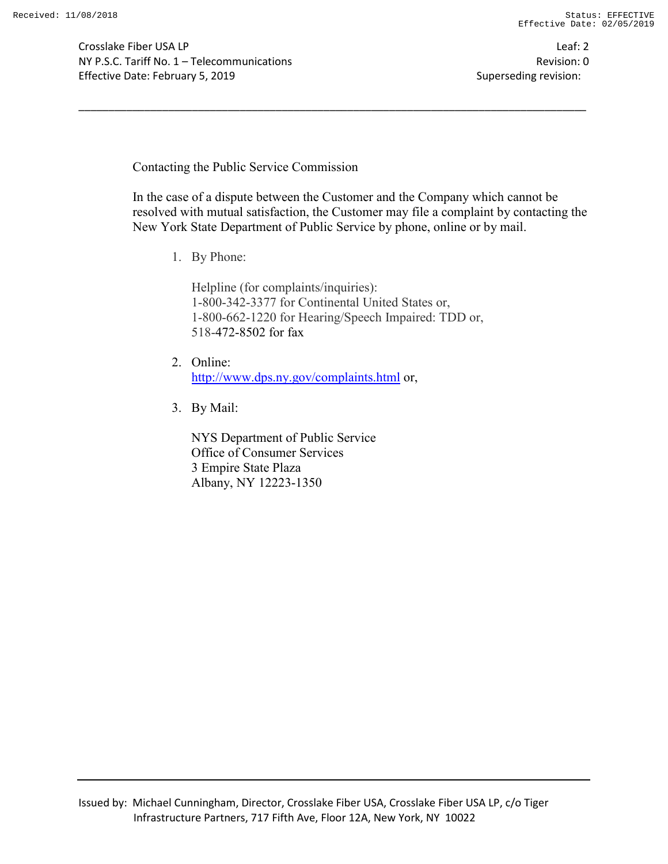Crosslake Fiber USA LP Leaf: 2 NY P.S.C. Tariff No. 1 – Telecommunications Revision: 0 Effective Date: February 5, 2019 Superseding revision:

Contacting the Public Service Commission

In the case of a dispute between the Customer and the Company which cannot be resolved with mutual satisfaction, the Customer may file a complaint by contacting the New York State Department of Public Service by phone, online or by mail.

1. By Phone:

Helpline (for complaints/inquiries): 1-800-342-3377 for Continental United States or, 1-800-662-1220 for Hearing/Speech Impaired: TDD or, 518-472-8502 for fax

\_\_\_\_\_\_\_\_\_\_\_\_\_\_\_\_\_\_\_\_\_\_\_\_\_\_\_\_\_\_\_\_\_\_\_\_\_\_\_\_\_\_\_\_\_\_\_\_\_\_\_\_\_\_\_\_\_\_\_\_\_\_\_\_\_\_\_\_\_\_\_\_\_\_\_\_\_\_\_\_\_\_\_\_\_

- 2. Online: http://www.dps.ny.gov/complaints.html or,
- 3. By Mail:

NYS Department of Public Service Office of Consumer Services 3 Empire State Plaza Albany, NY 12223-1350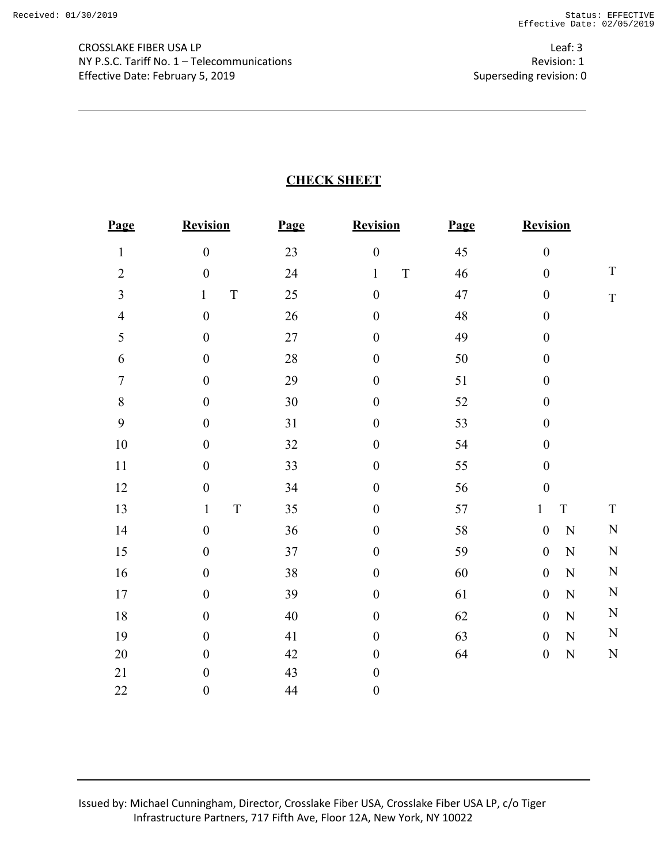Leaf: 3 Revision: 1 Superseding revision: 0

# **CHECK SHEET**

| Page           | <b>Revision</b>             | Page   | <b>Revision</b>             | Page | <b>Revision</b>               |             |
|----------------|-----------------------------|--------|-----------------------------|------|-------------------------------|-------------|
| $\mathbf{1}$   | $\boldsymbol{0}$            | 23     | $\boldsymbol{0}$            | 45   | $\boldsymbol{0}$              |             |
| $\overline{2}$ | $\boldsymbol{0}$            | 24     | $\mathbf T$<br>$\mathbf{1}$ | 46   | $\boldsymbol{0}$              | $\mathbf T$ |
| $\overline{3}$ | $\mathbf T$<br>$\mathbf{1}$ | 25     | $\boldsymbol{0}$            | 47   | $\boldsymbol{0}$              | $\mathbf T$ |
| $\overline{4}$ | $\boldsymbol{0}$            | 26     | $\boldsymbol{0}$            | 48   | $\boldsymbol{0}$              |             |
| 5              | $\boldsymbol{0}$            | 27     | $\boldsymbol{0}$            | 49   | $\boldsymbol{0}$              |             |
| 6              | $\boldsymbol{0}$            | $28\,$ | $\boldsymbol{0}$            | 50   | $\boldsymbol{0}$              |             |
| $\tau$         | $\boldsymbol{0}$            | 29     | $\boldsymbol{0}$            | 51   | $\boldsymbol{0}$              |             |
| $\,$ $\,$      | $\boldsymbol{0}$            | 30     | $\boldsymbol{0}$            | 52   | $\boldsymbol{0}$              |             |
| 9              | $\boldsymbol{0}$            | 31     | $\boldsymbol{0}$            | 53   | $\boldsymbol{0}$              |             |
| 10             | $\boldsymbol{0}$            | 32     | $\boldsymbol{0}$            | 54   | $\boldsymbol{0}$              |             |
| 11             | $\boldsymbol{0}$            | 33     | $\boldsymbol{0}$            | 55   | $\boldsymbol{0}$              |             |
| 12             | $\boldsymbol{0}$            | 34     | $\boldsymbol{0}$            | 56   | $\boldsymbol{0}$              |             |
| 13             | $\mathbf T$<br>$\mathbf{1}$ | 35     | $\boldsymbol{0}$            | 57   | $\mathbf T$<br>$\mathbf{1}$   | $\mathbf T$ |
| 14             | $\boldsymbol{0}$            | 36     | $\boldsymbol{0}$            | 58   | $\boldsymbol{0}$<br>${\bf N}$ | $\mathbf N$ |
| 15             | $\boldsymbol{0}$            | 37     | $\boldsymbol{0}$            | 59   | $\boldsymbol{0}$<br>${\bf N}$ | $\mathbf N$ |
| 16             | $\boldsymbol{0}$            | 38     | $\boldsymbol{0}$            | 60   | $\boldsymbol{0}$<br>${\bf N}$ | $\mathbf N$ |
| 17             | $\boldsymbol{0}$            | 39     | $\boldsymbol{0}$            | 61   | $\boldsymbol{0}$<br>${\bf N}$ | $\mathbf N$ |
| 18             | $\boldsymbol{0}$            | 40     | $\boldsymbol{0}$            | 62   | $\boldsymbol{0}$<br>${\bf N}$ | $\mathbf N$ |
| 19             | $\boldsymbol{0}$            | 41     | $\boldsymbol{0}$            | 63   | ${\bf N}$<br>$\boldsymbol{0}$ | $\mathbf N$ |
| $20\,$         | $\boldsymbol{0}$            | 42     | $\boldsymbol{0}$            | 64   | $\boldsymbol{0}$<br>${\bf N}$ | $\mathbf N$ |
| 21             | $\boldsymbol{0}$            | 43     | $\boldsymbol{0}$            |      |                               |             |
| 22             | $\boldsymbol{0}$            | 44     | $\boldsymbol{0}$            |      |                               |             |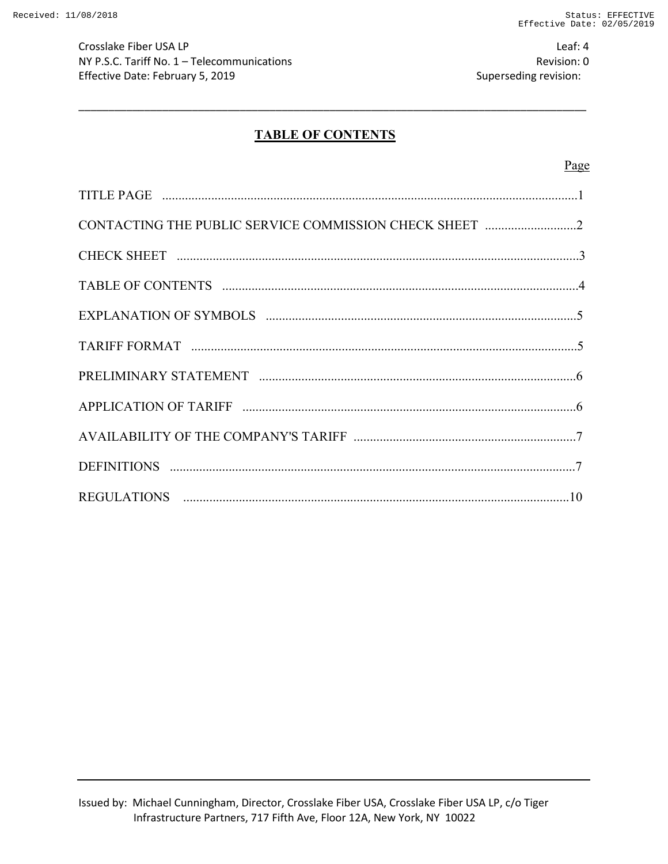Crosslake Fiber USA LP Leaf: 4 NY P.S.C. Tariff No. 1 – Telecommunications Revision: 0 Effective Date: February 5, 2019 Superseding revision:

# **TABLE OF CONTENTS**

\_\_\_\_\_\_\_\_\_\_\_\_\_\_\_\_\_\_\_\_\_\_\_\_\_\_\_\_\_\_\_\_\_\_\_\_\_\_\_\_\_\_\_\_\_\_\_\_\_\_\_\_\_\_\_\_\_\_\_\_\_\_\_\_\_\_\_\_\_\_\_\_\_\_\_\_\_\_\_\_\_\_\_\_\_

#### Page

| CONTACTING THE PUBLIC SERVICE COMMISSION CHECK SHEET 2 |
|--------------------------------------------------------|
|                                                        |
|                                                        |
|                                                        |
|                                                        |
|                                                        |
|                                                        |
|                                                        |
|                                                        |
|                                                        |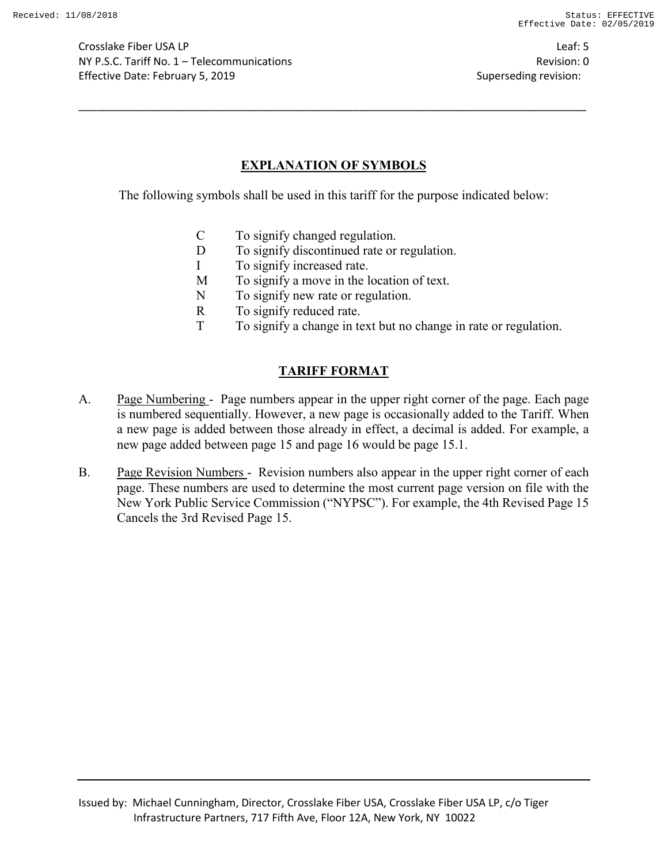Crosslake Fiber USA LP Leaf: 5 NY P.S.C. Tariff No. 1 – Telecommunications Revision: 0 Effective Date: February 5, 2019 **Superseding revision:** Superseding revision:

# **EXPLANATION OF SYMBOLS**

\_\_\_\_\_\_\_\_\_\_\_\_\_\_\_\_\_\_\_\_\_\_\_\_\_\_\_\_\_\_\_\_\_\_\_\_\_\_\_\_\_\_\_\_\_\_\_\_\_\_\_\_\_\_\_\_\_\_\_\_\_\_\_\_\_\_\_\_\_\_\_\_\_\_\_\_\_\_\_\_\_\_\_\_\_

The following symbols shall be used in this tariff for the purpose indicated below:

- C To signify changed regulation.
- D To signify discontinued rate or regulation.
- I To signify increased rate.
- M To signify a move in the location of text.
- N To signify new rate or regulation.
- R To signify reduced rate.
- T To signify a change in text but no change in rate or regulation.

# **TARIFF FORMAT**

- A. Page Numbering Page numbers appear in the upper right corner of the page. Each page is numbered sequentially. However, a new page is occasionally added to the Tariff. When a new page is added between those already in effect, a decimal is added. For example, a new page added between page 15 and page 16 would be page 15.1.
- B. Page Revision Numbers Revision numbers also appear in the upper right corner of each page. These numbers are used to determine the most current page version on file with the New York Public Service Commission ("NYPSC"). For example, the 4th Revised Page 15 Cancels the 3rd Revised Page 15.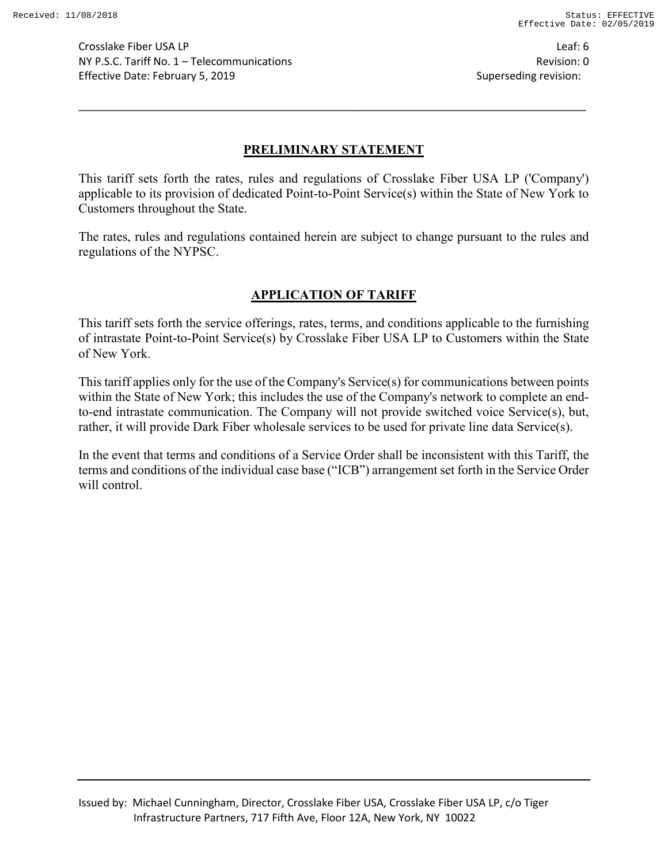Crosslake Fiber USA LP Leaf: 6 NY P.S.C. Tariff No. 1 – Telecommunications Revision: 0 Effective Date: February 5, 2019 Superseding revision:

## **PRELIMINARY STATEMENT**

\_\_\_\_\_\_\_\_\_\_\_\_\_\_\_\_\_\_\_\_\_\_\_\_\_\_\_\_\_\_\_\_\_\_\_\_\_\_\_\_\_\_\_\_\_\_\_\_\_\_\_\_\_\_\_\_\_\_\_\_\_\_\_\_\_\_\_\_\_\_\_\_\_\_\_\_\_\_\_\_\_\_\_\_\_

This tariff sets forth the rates, rules and regulations of Crosslake Fiber USA LP ('Company') applicable to its provision of dedicated Point-to-Point Service(s) within the State of New York to Customers throughout the State.

The rates, rules and regulations contained herein are subject to change pursuant to the rules and regulations of the NYPSC.

## **APPLICATION OF TARIFF**

This tariff sets forth the service offerings, rates, terms, and conditions applicable to the furnishing of intrastate Point-to-Point Service(s) by Crosslake Fiber USA LP to Customers within the State of New York.

This tariff applies only for the use of the Company's Service(s) for communications between points within the State of New York; this includes the use of the Company's network to complete an endto-end intrastate communication. The Company will not provide switched voice Service(s), but, rather, it will provide Dark Fiber wholesale services to be used for private line data Service(s).

In the event that terms and conditions of a Service Order shall be inconsistent with this Tariff, the terms and conditions of the individual case base ("ICB") arrangement set forth in the Service Order will control.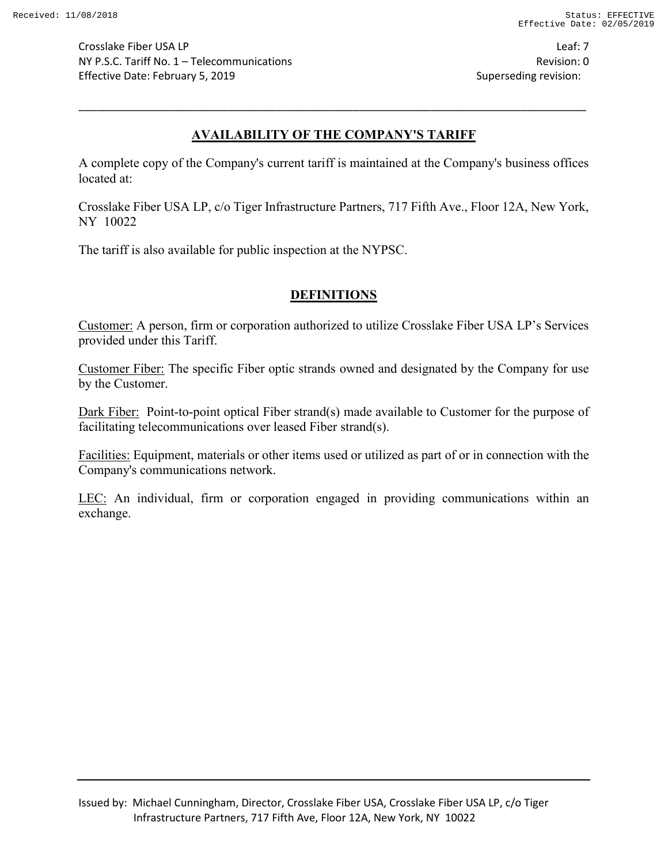Crosslake Fiber USA LP Leaf: 7 NY P.S.C. Tariff No. 1 – Telecommunications Revision: 0 Effective Date: February 5, 2019 **Superseding revision:** Superseding revision:

# **AVAILABILITY OF THE COMPANY'S TARIFF**

\_\_\_\_\_\_\_\_\_\_\_\_\_\_\_\_\_\_\_\_\_\_\_\_\_\_\_\_\_\_\_\_\_\_\_\_\_\_\_\_\_\_\_\_\_\_\_\_\_\_\_\_\_\_\_\_\_\_\_\_\_\_\_\_\_\_\_\_\_\_\_\_\_\_\_\_\_\_\_\_\_\_\_\_\_

A complete copy of the Company's current tariff is maintained at the Company's business offices located at:

Crosslake Fiber USA LP, c/o Tiger Infrastructure Partners, 717 Fifth Ave., Floor 12A, New York, NY 10022

The tariff is also available for public inspection at the NYPSC.

# **DEFINITIONS**

Customer: A person, firm or corporation authorized to utilize Crosslake Fiber USA LP's Services provided under this Tariff.

Customer Fiber: The specific Fiber optic strands owned and designated by the Company for use by the Customer.

Dark Fiber: Point-to-point optical Fiber strand(s) made available to Customer for the purpose of facilitating telecommunications over leased Fiber strand(s).

Facilities: Equipment, materials or other items used or utilized as part of or in connection with the Company's communications network.

LEC: An individual, firm or corporation engaged in providing communications within an exchange.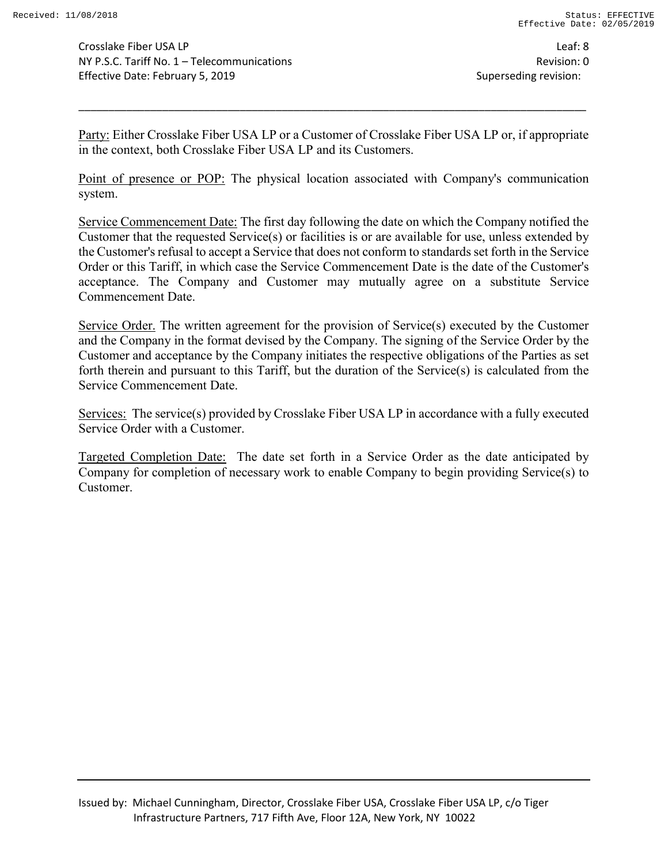Crosslake Fiber USA LP Leaf: 8 NY P.S.C. Tariff No. 1 – Telecommunications Revision: 0 Effective Date: February 5, 2019 Superseding revision:

Party: Either Crosslake Fiber USA LP or a Customer of Crosslake Fiber USA LP or, if appropriate in the context, both Crosslake Fiber USA LP and its Customers.

\_\_\_\_\_\_\_\_\_\_\_\_\_\_\_\_\_\_\_\_\_\_\_\_\_\_\_\_\_\_\_\_\_\_\_\_\_\_\_\_\_\_\_\_\_\_\_\_\_\_\_\_\_\_\_\_\_\_\_\_\_\_\_\_\_\_\_\_\_\_\_\_\_\_\_\_\_\_\_\_\_\_\_\_\_

Point of presence or POP: The physical location associated with Company's communication system.

Service Commencement Date: The first day following the date on which the Company notified the Customer that the requested Service(s) or facilities is or are available for use, unless extended by the Customer's refusal to accept a Service that does not conform to standards set forth in the Service Order or this Tariff, in which case the Service Commencement Date is the date of the Customer's acceptance. The Company and Customer may mutually agree on a substitute Service Commencement Date.

Service Order. The written agreement for the provision of Service(s) executed by the Customer and the Company in the format devised by the Company. The signing of the Service Order by the Customer and acceptance by the Company initiates the respective obligations of the Parties as set forth therein and pursuant to this Tariff, but the duration of the Service(s) is calculated from the Service Commencement Date.

Services: The service(s) provided by Crosslake Fiber USA LP in accordance with a fully executed Service Order with a Customer.

Targeted Completion Date: The date set forth in a Service Order as the date anticipated by Company for completion of necessary work to enable Company to begin providing Service(s) to Customer.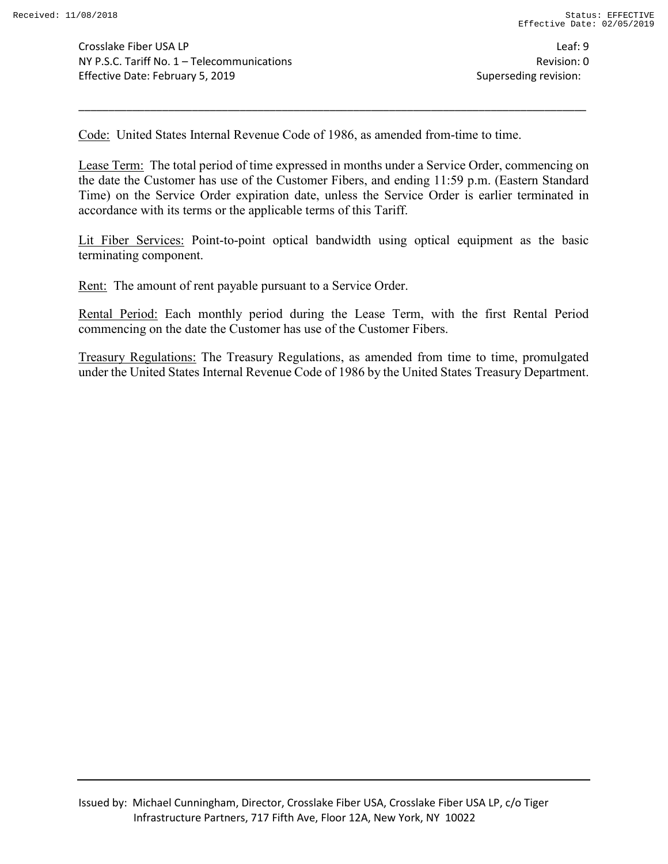Code: United States Internal Revenue Code of 1986, as amended from-time to time.

Lease Term: The total period of time expressed in months under a Service Order, commencing on the date the Customer has use of the Customer Fibers, and ending 11:59 p.m. (Eastern Standard Time) on the Service Order expiration date, unless the Service Order is earlier terminated in accordance with its terms or the applicable terms of this Tariff.

\_\_\_\_\_\_\_\_\_\_\_\_\_\_\_\_\_\_\_\_\_\_\_\_\_\_\_\_\_\_\_\_\_\_\_\_\_\_\_\_\_\_\_\_\_\_\_\_\_\_\_\_\_\_\_\_\_\_\_\_\_\_\_\_\_\_\_\_\_\_\_\_\_\_\_\_\_\_\_\_\_\_\_\_\_

Lit Fiber Services: Point-to-point optical bandwidth using optical equipment as the basic terminating component.

Rent: The amount of rent payable pursuant to a Service Order.

Rental Period: Each monthly period during the Lease Term, with the first Rental Period commencing on the date the Customer has use of the Customer Fibers.

Treasury Regulations: The Treasury Regulations, as amended from time to time, promulgated under the United States Internal Revenue Code of 1986 by the United States Treasury Department.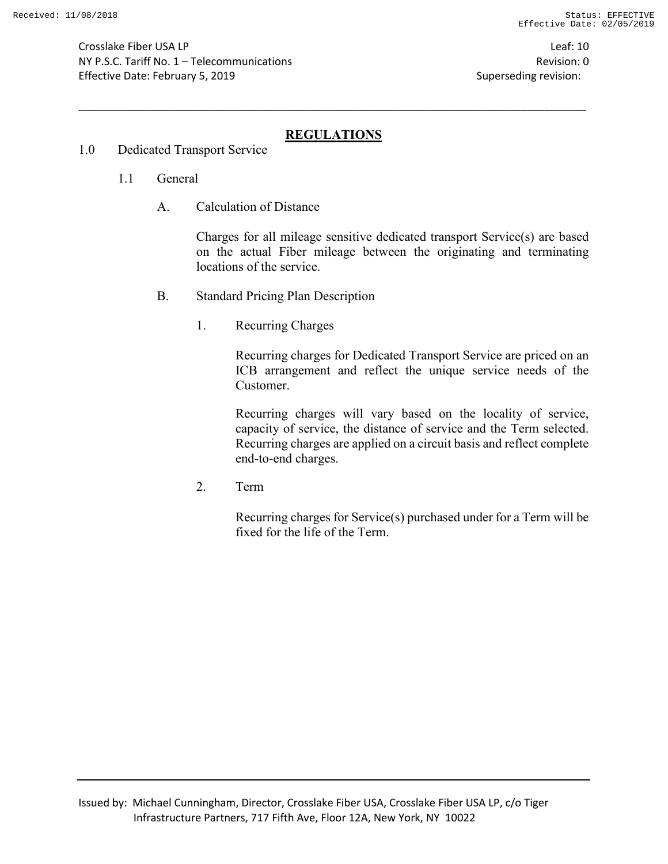Crosslake Fiber USA LP Leaf: 10 NY P.S.C. Tariff No. 1 – Telecommunications Revision: 0 Effective Date: February 5, 2019 Superseding revision:

# **REGULATIONS**

\_\_\_\_\_\_\_\_\_\_\_\_\_\_\_\_\_\_\_\_\_\_\_\_\_\_\_\_\_\_\_\_\_\_\_\_\_\_\_\_\_\_\_\_\_\_\_\_\_\_\_\_\_\_\_\_\_\_\_\_\_\_\_\_\_\_\_\_\_\_\_\_\_\_\_\_\_\_\_\_\_\_\_\_\_

- 1.0 Dedicated Transport Service
	- 1.1 General
		- A. Calculation of Distance

Charges for all mileage sensitive dedicated transport Service(s) are based on the actual Fiber mileage between the originating and terminating locations of the service.

- B. Standard Pricing Plan Description
	- 1. Recurring Charges

Recurring charges for Dedicated Transport Service are priced on an ICB arrangement and reflect the unique service needs of the Customer.

Recurring charges will vary based on the locality of service, capacity of service, the distance of service and the Term selected. Recurring charges are applied on a circuit basis and reflect complete end-to-end charges.

2. Term

Recurring charges for Service(s) purchased under for a Term will be fixed for the life of the Term.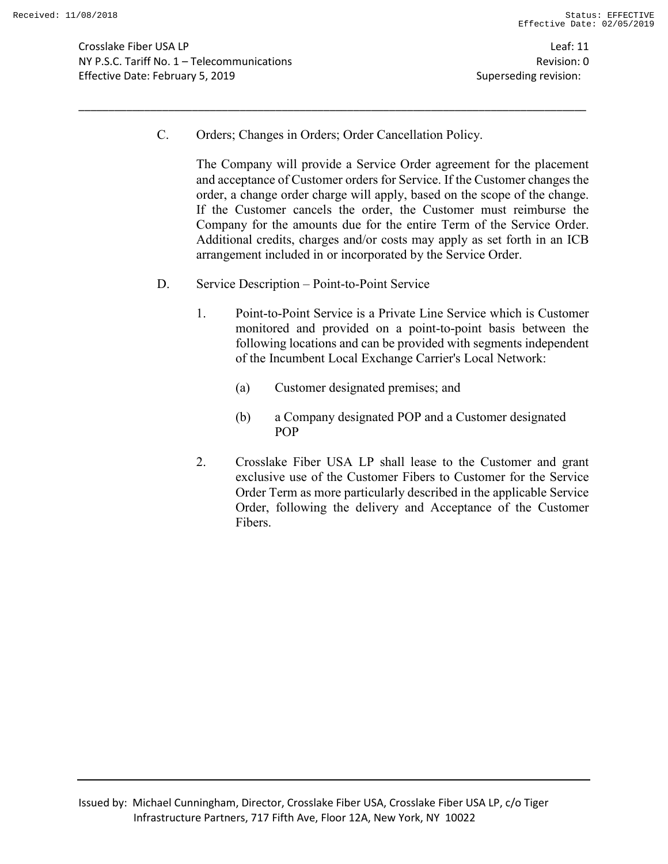Crosslake Fiber USA LP Leaf: 11 NY P.S.C. Tariff No. 1 – Telecommunications Revision: 0 Effective Date: February 5, 2019 Superseding revision:

C. Orders; Changes in Orders; Order Cancellation Policy.

\_\_\_\_\_\_\_\_\_\_\_\_\_\_\_\_\_\_\_\_\_\_\_\_\_\_\_\_\_\_\_\_\_\_\_\_\_\_\_\_\_\_\_\_\_\_\_\_\_\_\_\_\_\_\_\_\_\_\_\_\_\_\_\_\_\_\_\_\_\_\_\_\_\_\_\_\_\_\_\_\_\_\_\_\_

The Company will provide a Service Order agreement for the placement and acceptance of Customer orders for Service. If the Customer changes the order, a change order charge will apply, based on the scope of the change. If the Customer cancels the order, the Customer must reimburse the Company for the amounts due for the entire Term of the Service Order. Additional credits, charges and/or costs may apply as set forth in an ICB arrangement included in or incorporated by the Service Order.

- D. Service Description Point-to-Point Service
	- 1. Point-to-Point Service is a Private Line Service which is Customer monitored and provided on a point-to-point basis between the following locations and can be provided with segments independent of the Incumbent Local Exchange Carrier's Local Network:
		- (a) Customer designated premises; and
		- (b) a Company designated POP and a Customer designated POP
	- 2. Crosslake Fiber USA LP shall lease to the Customer and grant exclusive use of the Customer Fibers to Customer for the Service Order Term as more particularly described in the applicable Service Order, following the delivery and Acceptance of the Customer Fibers.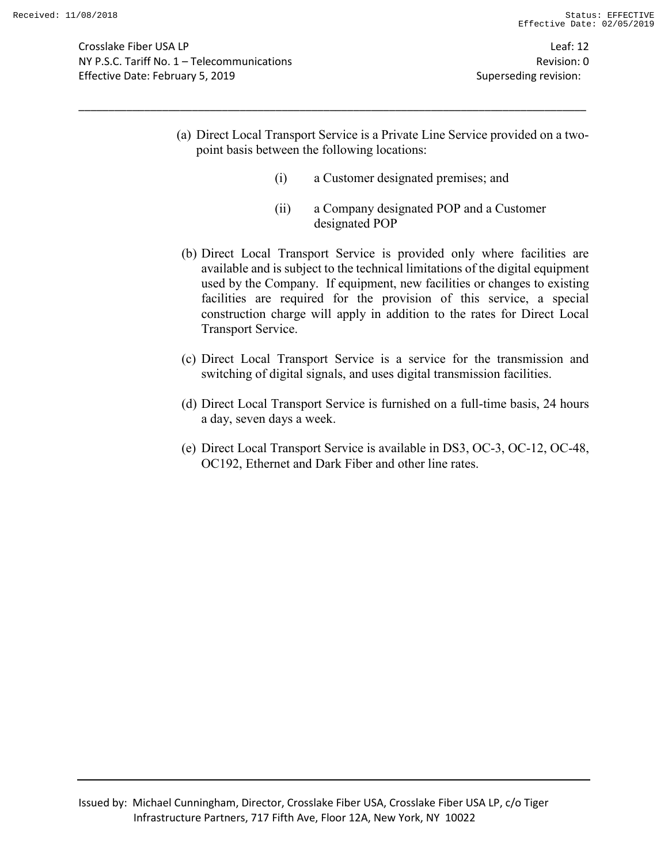Crosslake Fiber USA LP Leaf: 12 NY P.S.C. Tariff No. 1 – Telecommunications Revision: 0 Effective Date: February 5, 2019 **Superseding revision:** Superseding revision:

(a) Direct Local Transport Service is a Private Line Service provided on a twopoint basis between the following locations:

- (i) a Customer designated premises; and
- (ii) a Company designated POP and a Customer designated POP
- (b) Direct Local Transport Service is provided only where facilities are available and is subject to the technical limitations of the digital equipment used by the Company. If equipment, new facilities or changes to existing facilities are required for the provision of this service, a special construction charge will apply in addition to the rates for Direct Local Transport Service.
- (c) Direct Local Transport Service is a service for the transmission and switching of digital signals, and uses digital transmission facilities.
- (d) Direct Local Transport Service is furnished on a full-time basis, 24 hours a day, seven days a week.
- (e) Direct Local Transport Service is available in DS3, OC-3, OC-12, OC-48, OC192, Ethernet and Dark Fiber and other line rates.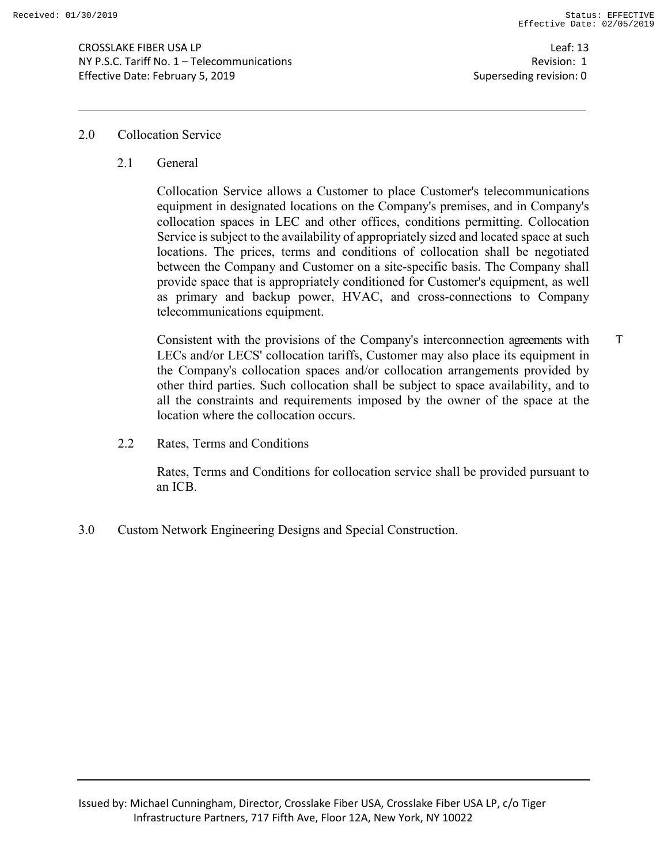Leaf: 13 Revision: 1 Superseding revision: 0

#### 2.0 Collocation Service

2.1 General

Collocation Service allows a Customer to place Customer's telecommunications equipment in designated locations on the Company's premises, and in Company's collocation spaces in LEC and other offices, conditions permitting. Collocation Service is subject to the availability of appropriately sized and located space at such locations. The prices, terms and conditions of collocation shall be negotiated between the Company and Customer on a site-specific basis. The Company shall provide space that is appropriately conditioned for Customer's equipment, as well as primary and backup power, HVAC, and cross-connections to Company telecommunications equipment.

Consistent with the provisions of the Company's interconnection agreements with LECs and/or LECS' collocation tariffs, Customer may also place its equipment in the Company's collocation spaces and/or collocation arrangements provided by other third parties. Such collocation shall be subject to space availability, and to all the constraints and requirements imposed by the owner of the space at the location where the collocation occurs. T

2.2 Rates, Terms and Conditions

Rates, Terms and Conditions for collocation service shall be provided pursuant to an ICB.

3.0 Custom Network Engineering Designs and Special Construction.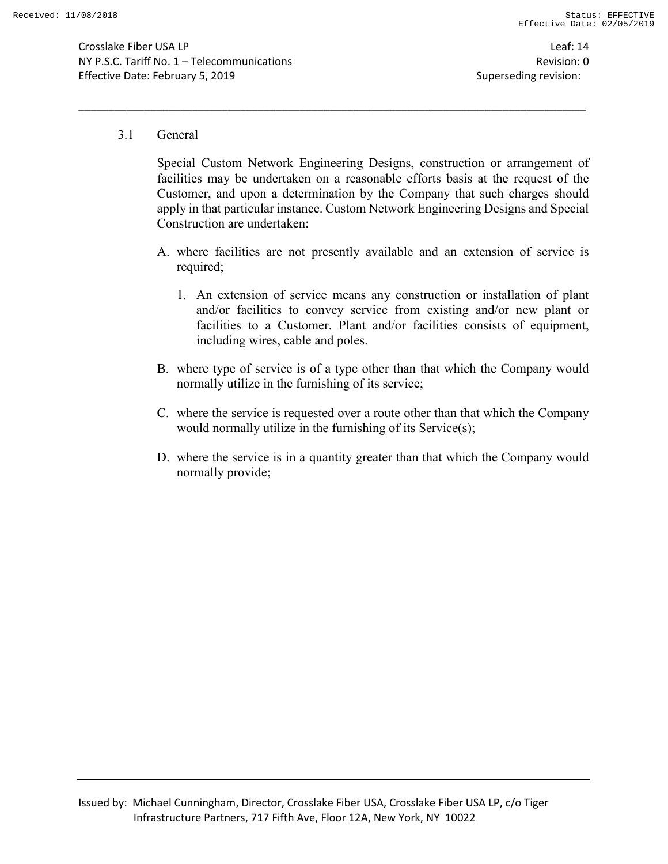Crosslake Fiber USA LP Leaf: 14 NY P.S.C. Tariff No. 1 – Telecommunications Revision: 0 Effective Date: February 5, 2019 **Superseding revision:** Superseding revision:

#### 3.1 General

Special Custom Network Engineering Designs, construction or arrangement of facilities may be undertaken on a reasonable efforts basis at the request of the Customer, and upon a determination by the Company that such charges should apply in that particular instance. Custom Network Engineering Designs and Special Construction are undertaken:

- A. where facilities are not presently available and an extension of service is required;
	- 1. An extension of service means any construction or installation of plant and/or facilities to convey service from existing and/or new plant or facilities to a Customer. Plant and/or facilities consists of equipment, including wires, cable and poles.
- B. where type of service is of a type other than that which the Company would normally utilize in the furnishing of its service;
- C. where the service is requested over a route other than that which the Company would normally utilize in the furnishing of its Service(s);
- D. where the service is in a quantity greater than that which the Company would normally provide;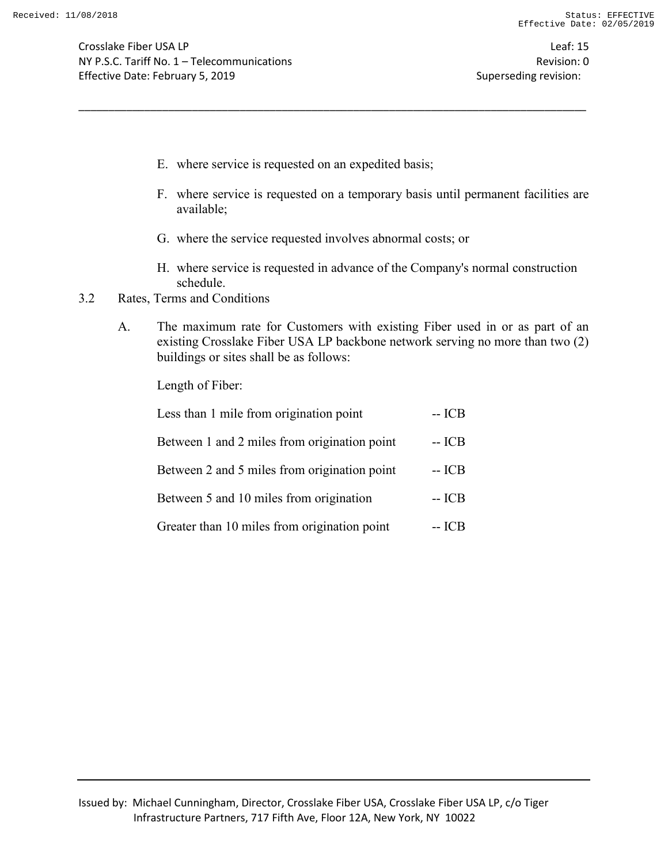Crosslake Fiber USA LP Leaf: 15 NY P.S.C. Tariff No. 1 – Telecommunications Revision: 0 Effective Date: February 5, 2019 Superseding revision:

- E. where service is requested on an expedited basis;
- F. where service is requested on a temporary basis until permanent facilities are available;
- G. where the service requested involves abnormal costs; or

\_\_\_\_\_\_\_\_\_\_\_\_\_\_\_\_\_\_\_\_\_\_\_\_\_\_\_\_\_\_\_\_\_\_\_\_\_\_\_\_\_\_\_\_\_\_\_\_\_\_\_\_\_\_\_\_\_\_\_\_\_\_\_\_\_\_\_\_\_\_\_\_\_\_\_\_\_\_\_\_\_\_\_\_\_

- H. where service is requested in advance of the Company's normal construction schedule.
- 3.2 Rates, Terms and Conditions
	- A. The maximum rate for Customers with existing Fiber used in or as part of an existing Crosslake Fiber USA LP backbone network serving no more than two (2) buildings or sites shall be as follows:

Length of Fiber:

| Less than 1 mile from origination point      | $-ICB$ |
|----------------------------------------------|--------|
| Between 1 and 2 miles from origination point | -- ICB |
| Between 2 and 5 miles from origination point | -- ICB |
| Between 5 and 10 miles from origination      | $-ICB$ |
| Greater than 10 miles from origination point | -- ICB |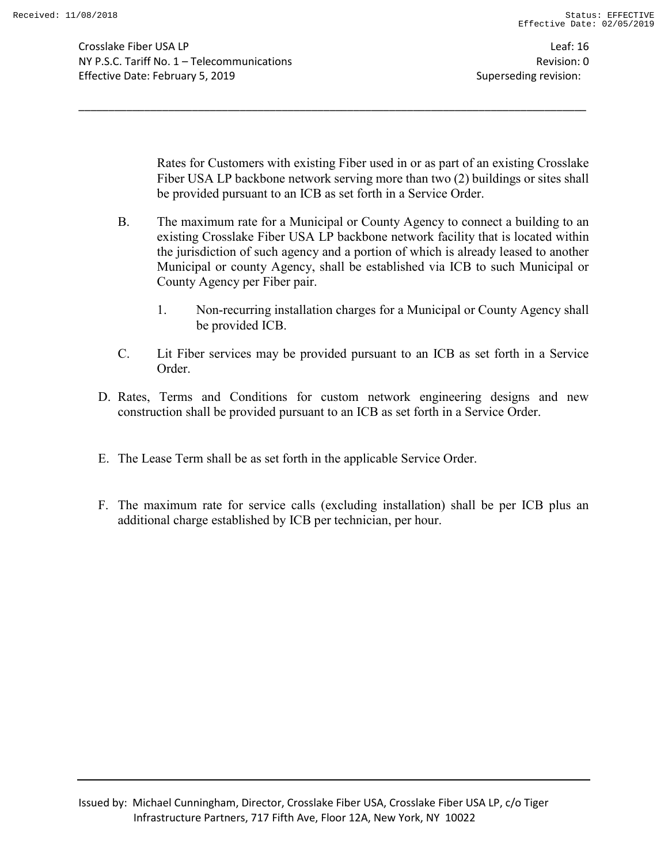Crosslake Fiber USA LP Leaf: 16 NY P.S.C. Tariff No. 1 – Telecommunications Revision: 0 Effective Date: February 5, 2019 Superseding revision:

Rates for Customers with existing Fiber used in or as part of an existing Crosslake Fiber USA LP backbone network serving more than two (2) buildings or sites shall be provided pursuant to an ICB as set forth in a Service Order.

B. The maximum rate for a Municipal or County Agency to connect a building to an existing Crosslake Fiber USA LP backbone network facility that is located within the jurisdiction of such agency and a portion of which is already leased to another Municipal or county Agency, shall be established via ICB to such Municipal or County Agency per Fiber pair.

- 1. Non-recurring installation charges for a Municipal or County Agency shall be provided ICB.
- C. Lit Fiber services may be provided pursuant to an ICB as set forth in a Service Order.
- D. Rates, Terms and Conditions for custom network engineering designs and new construction shall be provided pursuant to an ICB as set forth in a Service Order.
- E. The Lease Term shall be as set forth in the applicable Service Order.
- F. The maximum rate for service calls (excluding installation) shall be per ICB plus an additional charge established by ICB per technician, per hour.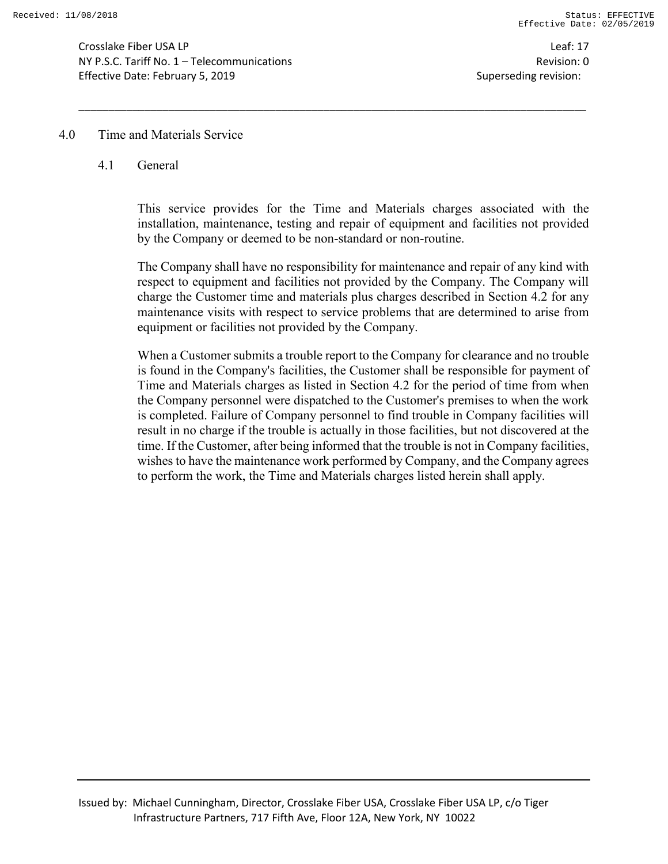Crosslake Fiber USA LP Leaf: 17 NY P.S.C. Tariff No. 1 – Telecommunications Revision: 0 Effective Date: February 5, 2019 **Superseding revision:** Superseding revision:

#### 4.0 Time and Materials Service

#### 4.1 General

This service provides for the Time and Materials charges associated with the installation, maintenance, testing and repair of equipment and facilities not provided by the Company or deemed to be non-standard or non-routine.

\_\_\_\_\_\_\_\_\_\_\_\_\_\_\_\_\_\_\_\_\_\_\_\_\_\_\_\_\_\_\_\_\_\_\_\_\_\_\_\_\_\_\_\_\_\_\_\_\_\_\_\_\_\_\_\_\_\_\_\_\_\_\_\_\_\_\_\_\_\_\_\_\_\_\_\_\_\_\_\_\_\_\_\_\_

The Company shall have no responsibility for maintenance and repair of any kind with respect to equipment and facilities not provided by the Company. The Company will charge the Customer time and materials plus charges described in Section 4.2 for any maintenance visits with respect to service problems that are determined to arise from equipment or facilities not provided by the Company.

When a Customer submits a trouble report to the Company for clearance and no trouble is found in the Company's facilities, the Customer shall be responsible for payment of Time and Materials charges as listed in Section 4.2 for the period of time from when the Company personnel were dispatched to the Customer's premises to when the work is completed. Failure of Company personnel to find trouble in Company facilities will result in no charge if the trouble is actually in those facilities, but not discovered at the time. If the Customer, after being informed that the trouble is not in Company facilities, wishes to have the maintenance work performed by Company, and the Company agrees to perform the work, the Time and Materials charges listed herein shall apply.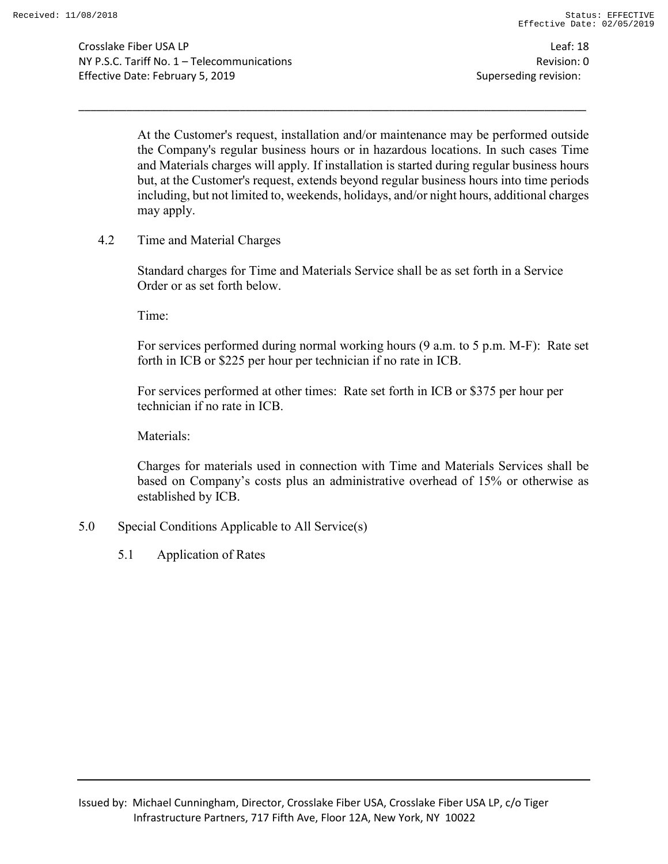Crosslake Fiber USA LP Leaf: 18 NY P.S.C. Tariff No. 1 – Telecommunications Revision: 0 Effective Date: February 5, 2019 **Superseding revision:** Superseding revision:

At the Customer's request, installation and/or maintenance may be performed outside the Company's regular business hours or in hazardous locations. In such cases Time and Materials charges will apply. If installation is started during regular business hours but, at the Customer's request, extends beyond regular business hours into time periods including, but not limited to, weekends, holidays, and/or night hours, additional charges may apply.

\_\_\_\_\_\_\_\_\_\_\_\_\_\_\_\_\_\_\_\_\_\_\_\_\_\_\_\_\_\_\_\_\_\_\_\_\_\_\_\_\_\_\_\_\_\_\_\_\_\_\_\_\_\_\_\_\_\_\_\_\_\_\_\_\_\_\_\_\_\_\_\_\_\_\_\_\_\_\_\_\_\_\_\_\_

4.2 Time and Material Charges

Standard charges for Time and Materials Service shall be as set forth in a Service Order or as set forth below.

Time:

For services performed during normal working hours (9 a.m. to 5 p.m. M-F): Rate set forth in ICB or \$225 per hour per technician if no rate in ICB.

For services performed at other times: Rate set forth in ICB or \$375 per hour per technician if no rate in ICB.

Materials:

Charges for materials used in connection with Time and Materials Services shall be based on Company's costs plus an administrative overhead of 15% or otherwise as established by ICB.

- 5.0 Special Conditions Applicable to All Service(s)
	- 5.1 Application of Rates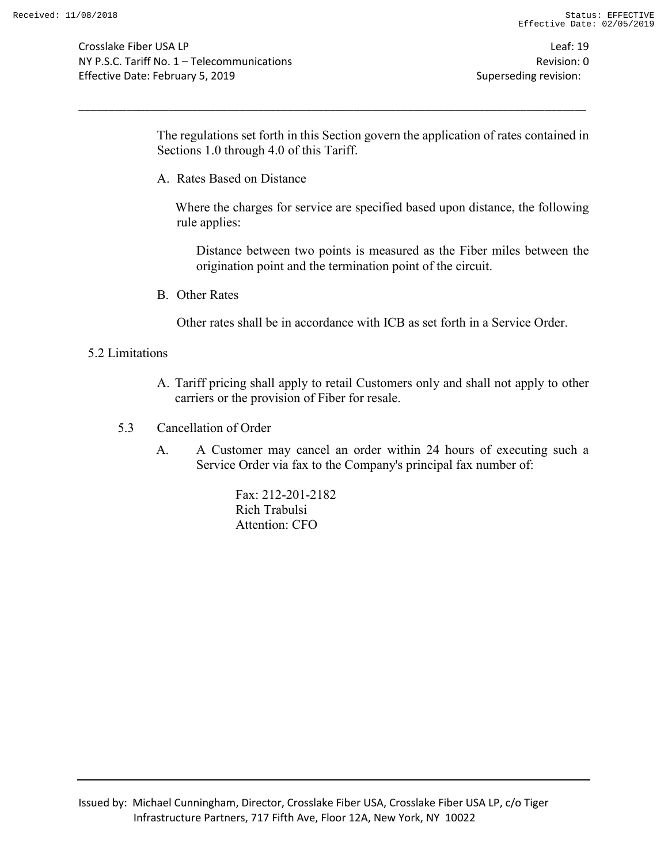Crosslake Fiber USA LP Leaf: 19 NY P.S.C. Tariff No. 1 – Telecommunications Revision: 0 Effective Date: February 5, 2019 Superseding revision:

The regulations set forth in this Section govern the application of rates contained in Sections 1.0 through 4.0 of this Tariff.

\_\_\_\_\_\_\_\_\_\_\_\_\_\_\_\_\_\_\_\_\_\_\_\_\_\_\_\_\_\_\_\_\_\_\_\_\_\_\_\_\_\_\_\_\_\_\_\_\_\_\_\_\_\_\_\_\_\_\_\_\_\_\_\_\_\_\_\_\_\_\_\_\_\_\_\_\_\_\_\_\_\_\_\_\_

A. Rates Based on Distance

Where the charges for service are specified based upon distance, the following rule applies:

Distance between two points is measured as the Fiber miles between the origination point and the termination point of the circuit.

B. Other Rates

Other rates shall be in accordance with ICB as set forth in a Service Order.

#### 5.2 Limitations

- A. Tariff pricing shall apply to retail Customers only and shall not apply to other carriers or the provision of Fiber for resale.
- 5.3 Cancellation of Order
	- A. A Customer may cancel an order within 24 hours of executing such a Service Order via fax to the Company's principal fax number of:

Fax: 212-201-2182 Rich Trabulsi Attention: CFO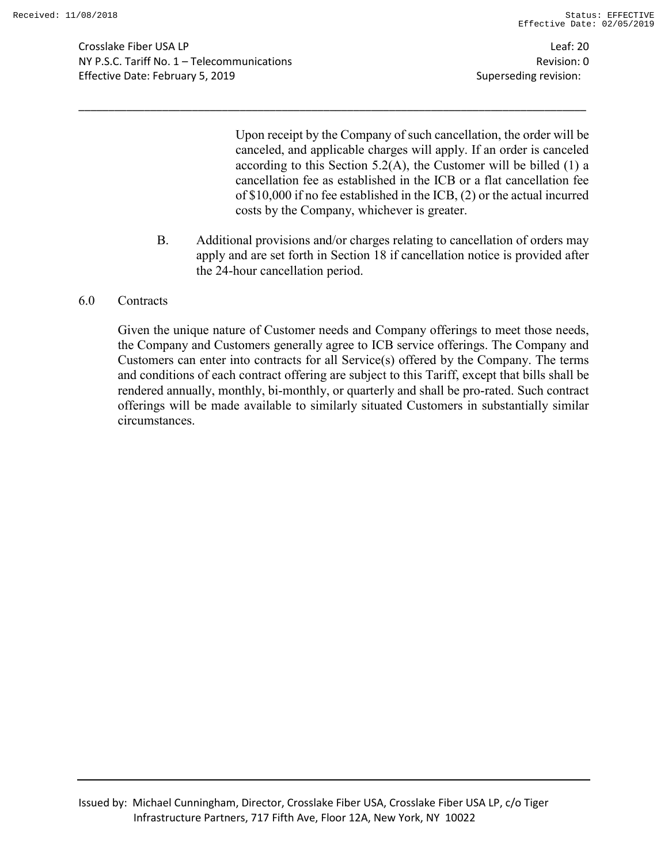Crosslake Fiber USA LP Leaf: 20 NY P.S.C. Tariff No. 1 – Telecommunications Revision: 0 Effective Date: February 5, 2019 Superseding revision:

Upon receipt by the Company of such cancellation, the order will be canceled, and applicable charges will apply. If an order is canceled according to this Section  $5.2(A)$ , the Customer will be billed (1) a cancellation fee as established in the ICB or a flat cancellation fee of \$10,000 if no fee established in the ICB, (2) or the actual incurred costs by the Company, whichever is greater.

B. Additional provisions and/or charges relating to cancellation of orders may apply and are set forth in Section 18 if cancellation notice is provided after the 24-hour cancellation period.

\_\_\_\_\_\_\_\_\_\_\_\_\_\_\_\_\_\_\_\_\_\_\_\_\_\_\_\_\_\_\_\_\_\_\_\_\_\_\_\_\_\_\_\_\_\_\_\_\_\_\_\_\_\_\_\_\_\_\_\_\_\_\_\_\_\_\_\_\_\_\_\_\_\_\_\_\_\_\_\_\_\_\_\_\_

6.0 Contracts

Given the unique nature of Customer needs and Company offerings to meet those needs, the Company and Customers generally agree to ICB service offerings. The Company and Customers can enter into contracts for all Service(s) offered by the Company. The terms and conditions of each contract offering are subject to this Tariff, except that bills shall be rendered annually, monthly, bi-monthly, or quarterly and shall be pro-rated. Such contract offerings will be made available to similarly situated Customers in substantially similar circumstances.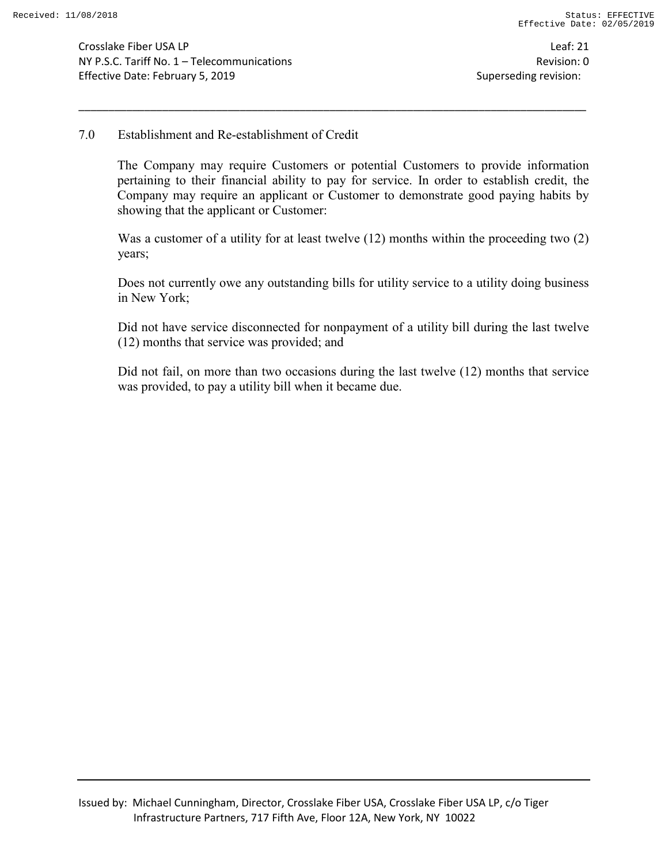Crosslake Fiber USA LP Leaf: 21 NY P.S.C. Tariff No. 1 – Telecommunications Revision: 0 Effective Date: February 5, 2019 Superseding revision:

### 7.0 Establishment and Re-establishment of Credit

The Company may require Customers or potential Customers to provide information pertaining to their financial ability to pay for service. In order to establish credit, the Company may require an applicant or Customer to demonstrate good paying habits by showing that the applicant or Customer:

\_\_\_\_\_\_\_\_\_\_\_\_\_\_\_\_\_\_\_\_\_\_\_\_\_\_\_\_\_\_\_\_\_\_\_\_\_\_\_\_\_\_\_\_\_\_\_\_\_\_\_\_\_\_\_\_\_\_\_\_\_\_\_\_\_\_\_\_\_\_\_\_\_\_\_\_\_\_\_\_\_\_\_\_\_

Was a customer of a utility for at least twelve (12) months within the proceeding two (2) years;

Does not currently owe any outstanding bills for utility service to a utility doing business in New York;

Did not have service disconnected for nonpayment of a utility bill during the last twelve (12) months that service was provided; and

Did not fail, on more than two occasions during the last twelve (12) months that service was provided, to pay a utility bill when it became due.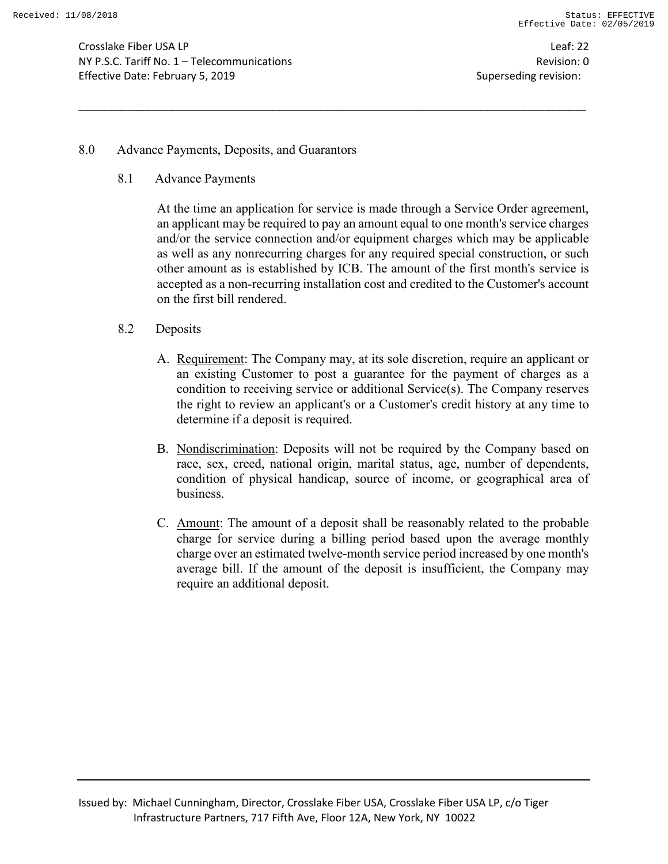Crosslake Fiber USA LP Leaf: 22 NY P.S.C. Tariff No. 1 – Telecommunications Revision: 0 Effective Date: February 5, 2019 Superseding revision:

8.0 Advance Payments, Deposits, and Guarantors

8.1 Advance Payments

At the time an application for service is made through a Service Order agreement, an applicant may be required to pay an amount equal to one month's service charges and/or the service connection and/or equipment charges which may be applicable as well as any nonrecurring charges for any required special construction, or such other amount as is established by ICB. The amount of the first month's service is accepted as a non-recurring installation cost and credited to the Customer's account on the first bill rendered.

- 8.2 Deposits
	- A. Requirement: The Company may, at its sole discretion, require an applicant or an existing Customer to post a guarantee for the payment of charges as a condition to receiving service or additional Service(s). The Company reserves the right to review an applicant's or a Customer's credit history at any time to determine if a deposit is required.
	- B. Nondiscrimination: Deposits will not be required by the Company based on race, sex, creed, national origin, marital status, age, number of dependents, condition of physical handicap, source of income, or geographical area of business.
	- C. Amount: The amount of a deposit shall be reasonably related to the probable charge for service during a billing period based upon the average monthly charge over an estimated twelve-month service period increased by one month's average bill. If the amount of the deposit is insufficient, the Company may require an additional deposit.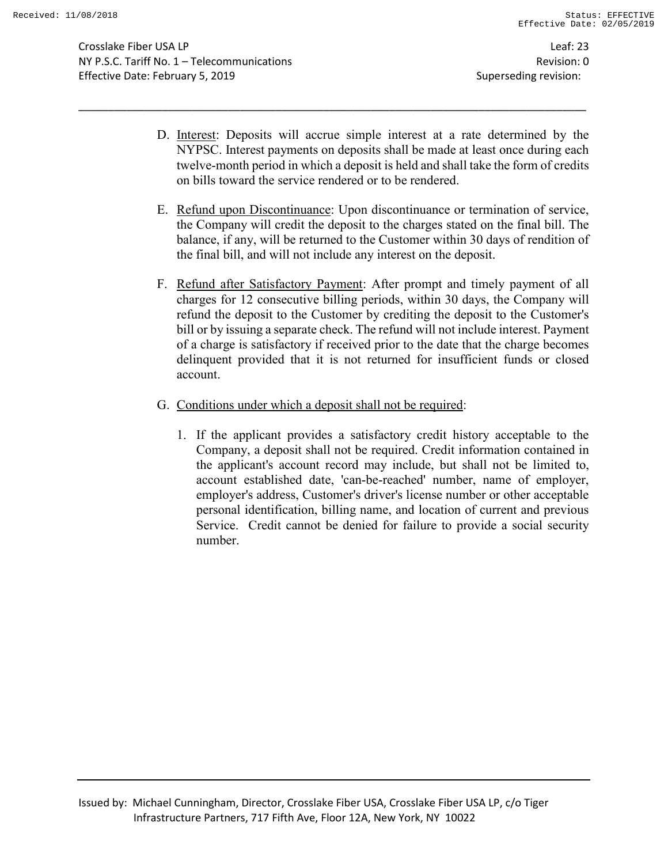Crosslake Fiber USA LP Leaf: 23 NY P.S.C. Tariff No. 1 – Telecommunications Revision: 0 Effective Date: February 5, 2019 Superseding revision:

D. Interest: Deposits will accrue simple interest at a rate determined by the NYPSC. Interest payments on deposits shall be made at least once during each twelve-month period in which a deposit is held and shall take the form of credits on bills toward the service rendered or to be rendered.

- E. Refund upon Discontinuance: Upon discontinuance or termination of service, the Company will credit the deposit to the charges stated on the final bill. The balance, if any, will be returned to the Customer within 30 days of rendition of the final bill, and will not include any interest on the deposit.
- F. Refund after Satisfactory Payment: After prompt and timely payment of all charges for 12 consecutive billing periods, within 30 days, the Company will refund the deposit to the Customer by crediting the deposit to the Customer's bill or by issuing a separate check. The refund will not include interest. Payment of a charge is satisfactory if received prior to the date that the charge becomes delinquent provided that it is not returned for insufficient funds or closed account.
- G. Conditions under which a deposit shall not be required:
	- 1. If the applicant provides a satisfactory credit history acceptable to the Company, a deposit shall not be required. Credit information contained in the applicant's account record may include, but shall not be limited to, account established date, 'can-be-reached' number, name of employer, employer's address, Customer's driver's license number or other acceptable personal identification, billing name, and location of current and previous Service. Credit cannot be denied for failure to provide a social security number.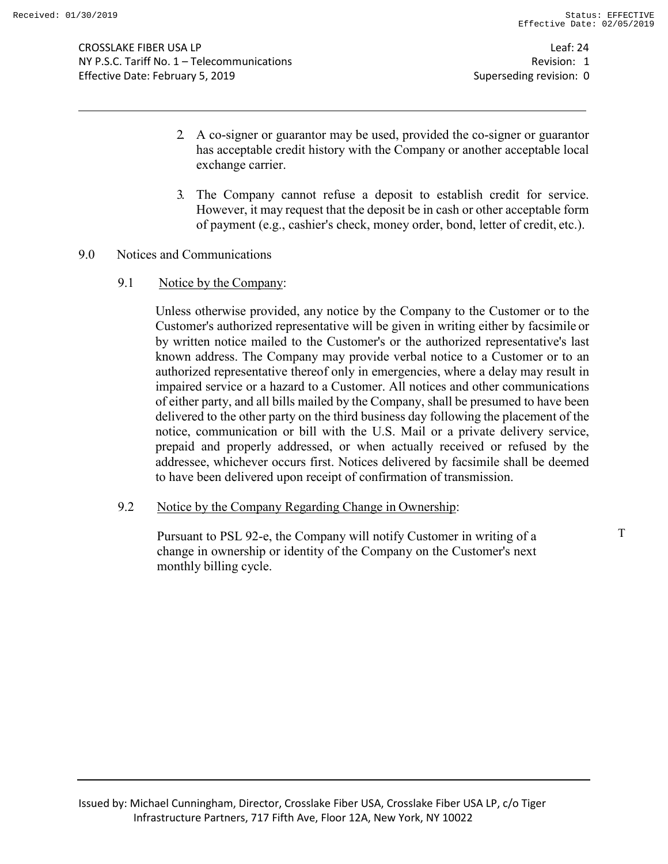- 2. A co-signer or guarantor may be used, provided the co-signer or guarantor has acceptable credit history with the Company or another acceptable local exchange carrier.
- 3. The Company cannot refuse a deposit to establish credit for service. However, it may request that the deposit be in cash or other acceptable form of payment (e.g., cashier's check, money order, bond, letter of credit, etc.).

#### 9.0 Notices and Communications

9.1 Notice by the Company:

Unless otherwise provided, any notice by the Company to the Customer or to the Customer's authorized representative will be given in writing either by facsimile or by written notice mailed to the Customer's or the authorized representative's last known address. The Company may provide verbal notice to a Customer or to an authorized representative thereof only in emergencies, where a delay may result in impaired service or a hazard to a Customer. All notices and other communications of either party, and all bills mailed by the Company, shall be presumed to have been delivered to the other party on the third business day following the placement of the notice, communication or bill with the U.S. Mail or a private delivery service, prepaid and properly addressed, or when actually received or refused by the addressee, whichever occurs first. Notices delivered by facsimile shall be deemed to have been delivered upon receipt of confirmation of transmission.

9.2 Notice by the Company Regarding Change in Ownership:

Pursuant to PSL 92-e, the Company will notify Customer in writing of a change in ownership or identity of the Company on the Customer's next monthly billing cycle.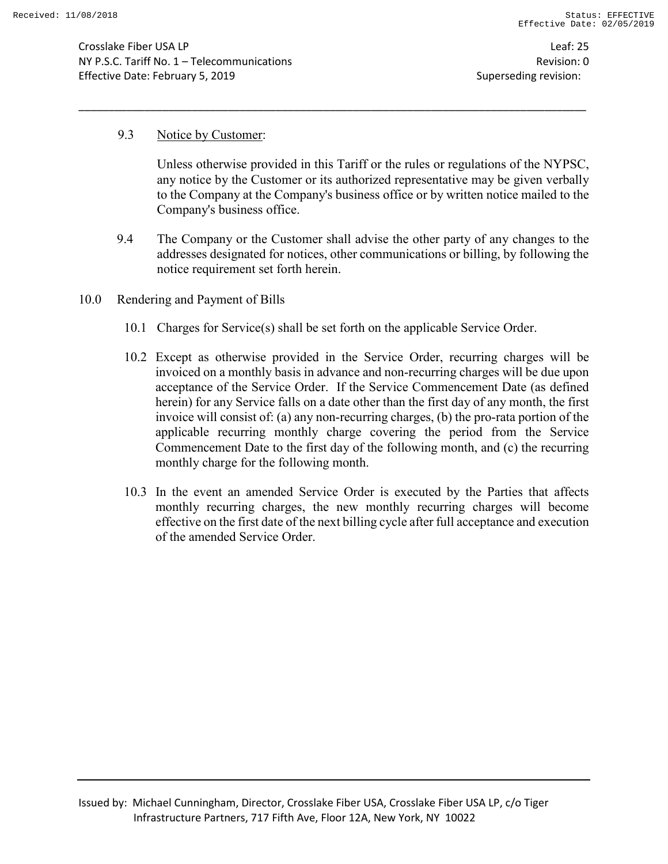Crosslake Fiber USA LP Leaf: 25 NY P.S.C. Tariff No. 1 – Telecommunications Revision: 0 Effective Date: February 5, 2019 Superseding revision:

#### 9.3 Notice by Customer:

Unless otherwise provided in this Tariff or the rules or regulations of the NYPSC, any notice by the Customer or its authorized representative may be given verbally to the Company at the Company's business office or by written notice mailed to the Company's business office.

- 9.4 The Company or the Customer shall advise the other party of any changes to the addresses designated for notices, other communications or billing, by following the notice requirement set forth herein.
- 10.0 Rendering and Payment of Bills
	- 10.1 Charges for Service(s) shall be set forth on the applicable Service Order.

- 10.2 Except as otherwise provided in the Service Order, recurring charges will be invoiced on a monthly basis in advance and non-recurring charges will be due upon acceptance of the Service Order. If the Service Commencement Date (as defined herein) for any Service falls on a date other than the first day of any month, the first invoice will consist of: (a) any non-recurring charges, (b) the pro-rata portion of the applicable recurring monthly charge covering the period from the Service Commencement Date to the first day of the following month, and (c) the recurring monthly charge for the following month.
- 10.3 In the event an amended Service Order is executed by the Parties that affects monthly recurring charges, the new monthly recurring charges will become effective on the first date of the next billing cycle after full acceptance and execution of the amended Service Order.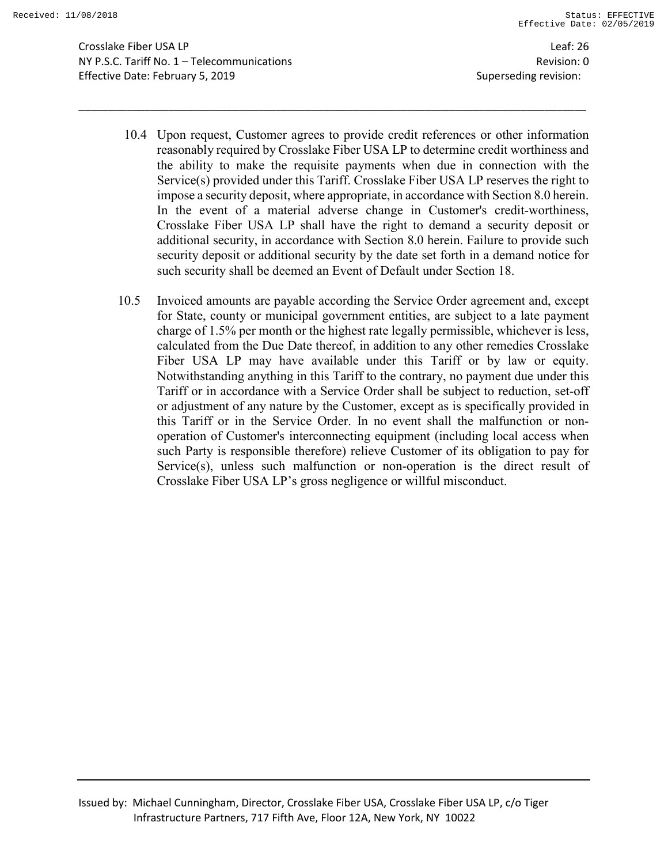Crosslake Fiber USA LP Leaf: 26 NY P.S.C. Tariff No. 1 – Telecommunications Revision: 0 Effective Date: February 5, 2019 Superseding revision:

10.4 Upon request, Customer agrees to provide credit references or other information reasonably required by Crosslake Fiber USA LP to determine credit worthiness and the ability to make the requisite payments when due in connection with the Service(s) provided under this Tariff. Crosslake Fiber USA LP reserves the right to impose a security deposit, where appropriate, in accordance with Section 8.0 herein. In the event of a material adverse change in Customer's credit-worthiness, Crosslake Fiber USA LP shall have the right to demand a security deposit or additional security, in accordance with Section 8.0 herein. Failure to provide such security deposit or additional security by the date set forth in a demand notice for such security shall be deemed an Event of Default under Section 18.

\_\_\_\_\_\_\_\_\_\_\_\_\_\_\_\_\_\_\_\_\_\_\_\_\_\_\_\_\_\_\_\_\_\_\_\_\_\_\_\_\_\_\_\_\_\_\_\_\_\_\_\_\_\_\_\_\_\_\_\_\_\_\_\_\_\_\_\_\_\_\_\_\_\_\_\_\_\_\_\_\_\_\_\_\_

10.5 Invoiced amounts are payable according the Service Order agreement and, except for State, county or municipal government entities, are subject to a late payment charge of 1.5% per month or the highest rate legally permissible, whichever is less, calculated from the Due Date thereof, in addition to any other remedies Crosslake Fiber USA LP may have available under this Tariff or by law or equity. Notwithstanding anything in this Tariff to the contrary, no payment due under this Tariff or in accordance with a Service Order shall be subject to reduction, set-off or adjustment of any nature by the Customer, except as is specifically provided in this Tariff or in the Service Order. In no event shall the malfunction or nonoperation of Customer's interconnecting equipment (including local access when such Party is responsible therefore) relieve Customer of its obligation to pay for Service(s), unless such malfunction or non-operation is the direct result of Crosslake Fiber USA LP's gross negligence or willful misconduct.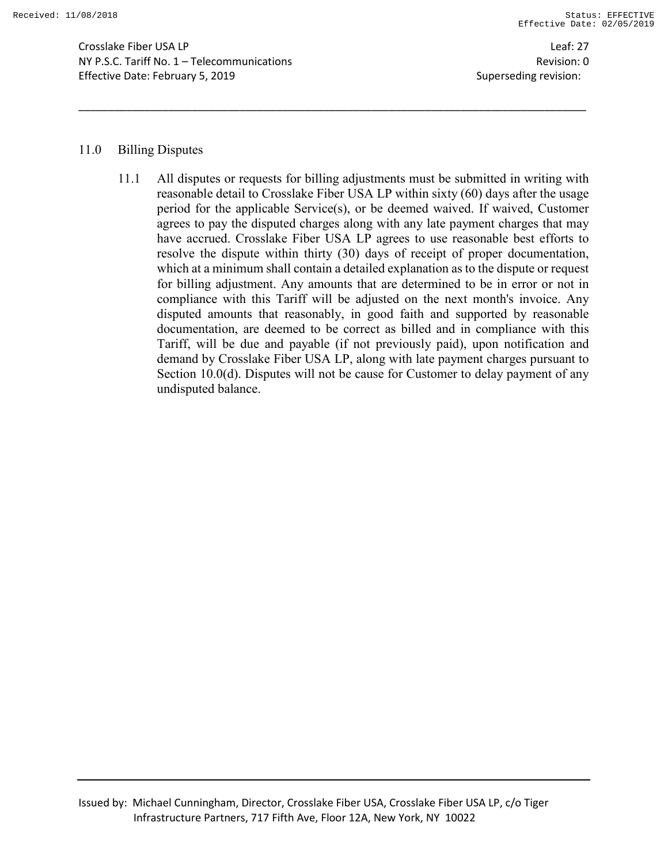Crosslake Fiber USA LP Leaf: 27 NY P.S.C. Tariff No. 1 – Telecommunications Revision: 0 Effective Date: February 5, 2019 Superseding revision:

#### 11.0 Billing Disputes

11.1 All disputes or requests for billing adjustments must be submitted in writing with reasonable detail to Crosslake Fiber USA LP within sixty (60) days after the usage period for the applicable Service(s), or be deemed waived. If waived, Customer agrees to pay the disputed charges along with any late payment charges that may have accrued. Crosslake Fiber USA LP agrees to use reasonable best efforts to resolve the dispute within thirty (30) days of receipt of proper documentation, which at a minimum shall contain a detailed explanation as to the dispute or request for billing adjustment. Any amounts that are determined to be in error or not in compliance with this Tariff will be adjusted on the next month's invoice. Any disputed amounts that reasonably, in good faith and supported by reasonable documentation, are deemed to be correct as billed and in compliance with this Tariff, will be due and payable (if not previously paid), upon notification and demand by Crosslake Fiber USA LP, along with late payment charges pursuant to Section 10.0(d). Disputes will not be cause for Customer to delay payment of any undisputed balance.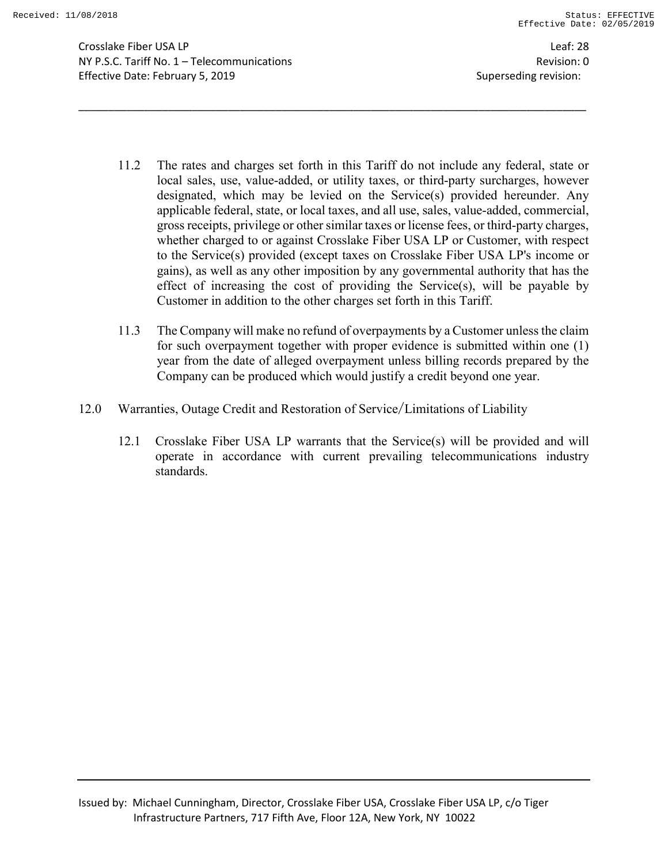Crosslake Fiber USA LP Leaf: 28 NY P.S.C. Tariff No. 1 – Telecommunications Revision: 0 Effective Date: February 5, 2019 Superseding revision:

11.2 The rates and charges set forth in this Tariff do not include any federal, state or local sales, use, value-added, or utility taxes, or third-party surcharges, however designated, which may be levied on the Service(s) provided hereunder. Any applicable federal, state, or local taxes, and all use, sales, value-added, commercial, gross receipts, privilege or other similar taxes or license fees, or third-party charges, whether charged to or against Crosslake Fiber USA LP or Customer, with respect to the Service(s) provided (except taxes on Crosslake Fiber USA LP's income or gains), as well as any other imposition by any governmental authority that has the effect of increasing the cost of providing the Service(s), will be payable by Customer in addition to the other charges set forth in this Tariff.

- 11.3 The Company will make no refund of overpayments by a Customer unless the claim for such overpayment together with proper evidence is submitted within one (1) year from the date of alleged overpayment unless billing records prepared by the Company can be produced which would justify a credit beyond one year.
- 12.0 Warranties, Outage Credit and Restoration of Service/Limitations of Liability
	- 12.1 Crosslake Fiber USA LP warrants that the Service(s) will be provided and will operate in accordance with current prevailing telecommunications industry standards.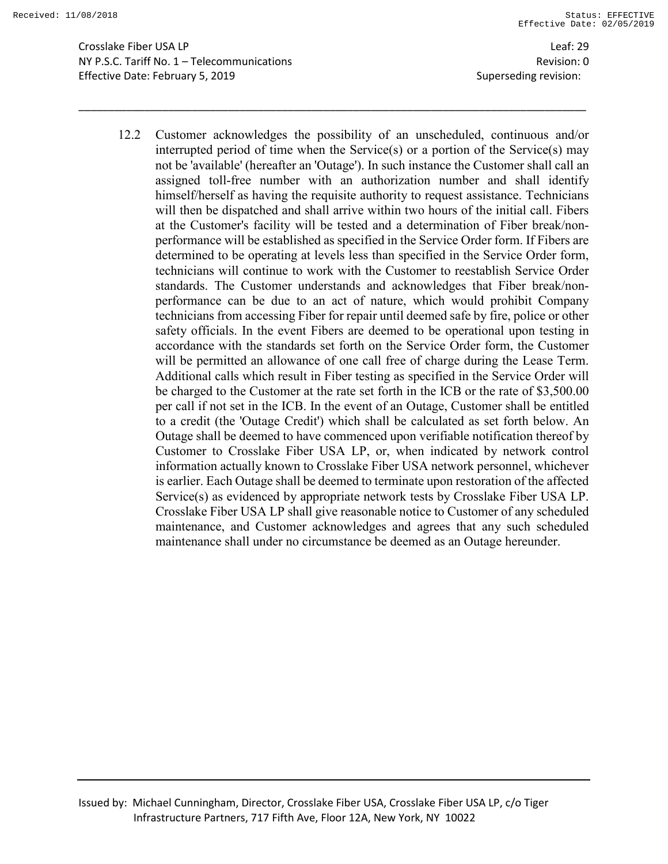Crosslake Fiber USA LP Leaf: 29 NY P.S.C. Tariff No. 1 – Telecommunications Revision: 0 Effective Date: February 5, 2019 **Superseding revision:** Superseding revision:

12.2 Customer acknowledges the possibility of an unscheduled, continuous and/or interrupted period of time when the Service(s) or a portion of the Service(s) may not be 'available' (hereafter an 'Outage'). In such instance the Customer shall call an assigned toll-free number with an authorization number and shall identify himself/herself as having the requisite authority to request assistance. Technicians will then be dispatched and shall arrive within two hours of the initial call. Fibers at the Customer's facility will be tested and a determination of Fiber break/nonperformance will be established as specified in the Service Order form. If Fibers are determined to be operating at levels less than specified in the Service Order form, technicians will continue to work with the Customer to reestablish Service Order standards. The Customer understands and acknowledges that Fiber break/nonperformance can be due to an act of nature, which would prohibit Company technicians from accessing Fiber for repair until deemed safe by fire, police or other safety officials. In the event Fibers are deemed to be operational upon testing in accordance with the standards set forth on the Service Order form, the Customer will be permitted an allowance of one call free of charge during the Lease Term. Additional calls which result in Fiber testing as specified in the Service Order will be charged to the Customer at the rate set forth in the ICB or the rate of \$3,500.00 per call if not set in the ICB. In the event of an Outage, Customer shall be entitled to a credit (the 'Outage Credit') which shall be calculated as set forth below. An Outage shall be deemed to have commenced upon verifiable notification thereof by Customer to Crosslake Fiber USA LP, or, when indicated by network control information actually known to Crosslake Fiber USA network personnel, whichever is earlier. Each Outage shall be deemed to terminate upon restoration of the affected Service(s) as evidenced by appropriate network tests by Crosslake Fiber USA LP. Crosslake Fiber USA LP shall give reasonable notice to Customer of any scheduled maintenance, and Customer acknowledges and agrees that any such scheduled maintenance shall under no circumstance be deemed as an Outage hereunder.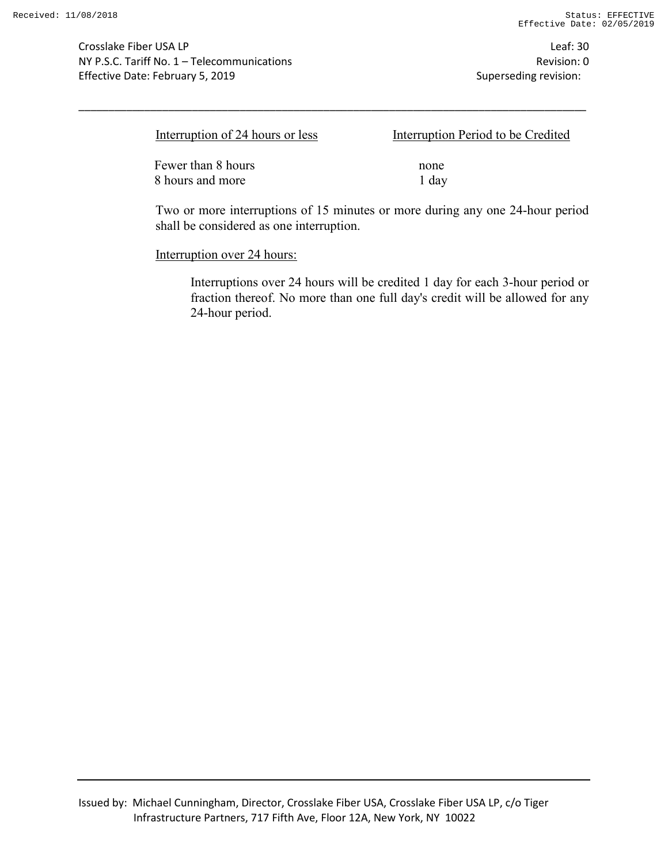Crosslake Fiber USA LP Leaf: 30 NY P.S.C. Tariff No. 1 – Telecommunications Revision: 0 Effective Date: February 5, 2019 Superseding revision:

| Interruption of 24 hours or less | Interruption Period to be Credited |
|----------------------------------|------------------------------------|
| Fewer than 8 hours               | none                               |
| 8 hours and more                 | 1 day                              |

\_\_\_\_\_\_\_\_\_\_\_\_\_\_\_\_\_\_\_\_\_\_\_\_\_\_\_\_\_\_\_\_\_\_\_\_\_\_\_\_\_\_\_\_\_\_\_\_\_\_\_\_\_\_\_\_\_\_\_\_\_\_\_\_\_\_\_\_\_\_\_\_\_\_\_\_\_\_\_\_\_\_\_\_\_

Two or more interruptions of 15 minutes or more during any one 24-hour period shall be considered as one interruption.

Interruption over 24 hours:

Interruptions over 24 hours will be credited 1 day for each 3-hour period or fraction thereof. No more than one full day's credit will be allowed for any 24-hour period.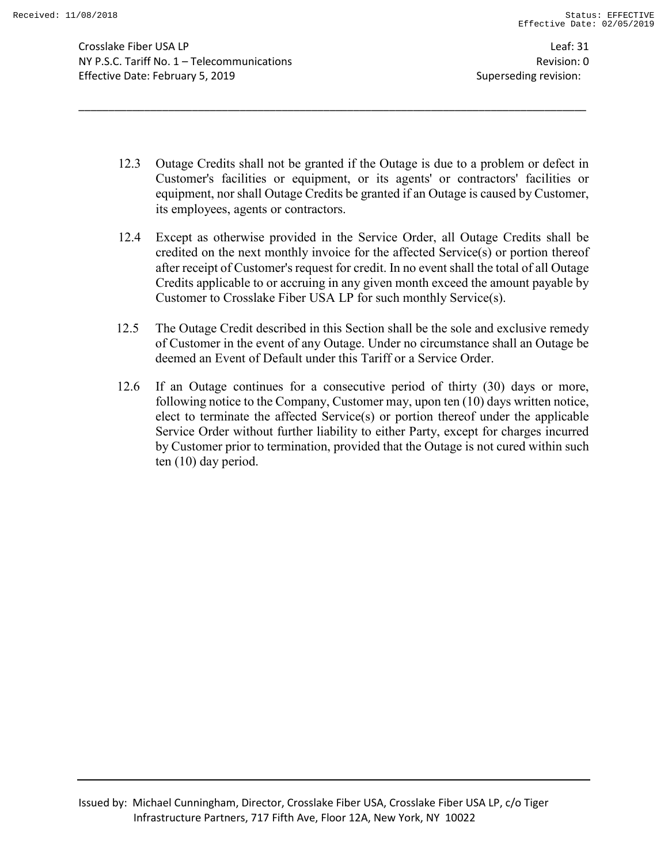Crosslake Fiber USA LP Leaf: 31 NY P.S.C. Tariff No. 1 – Telecommunications Revision: 0 Effective Date: February 5, 2019 Superseding revision:

12.3 Outage Credits shall not be granted if the Outage is due to a problem or defect in Customer's facilities or equipment, or its agents' or contractors' facilities or equipment, nor shall Outage Credits be granted if an Outage is caused by Customer, its employees, agents or contractors.

- 12.4 Except as otherwise provided in the Service Order, all Outage Credits shall be credited on the next monthly invoice for the affected Service(s) or portion thereof after receipt of Customer's request for credit. In no event shall the total of all Outage Credits applicable to or accruing in any given month exceed the amount payable by Customer to Crosslake Fiber USA LP for such monthly Service(s).
- 12.5 The Outage Credit described in this Section shall be the sole and exclusive remedy of Customer in the event of any Outage. Under no circumstance shall an Outage be deemed an Event of Default under this Tariff or a Service Order.
- 12.6 If an Outage continues for a consecutive period of thirty (30) days or more, following notice to the Company, Customer may, upon ten (10) days written notice, elect to terminate the affected Service(s) or portion thereof under the applicable Service Order without further liability to either Party, except for charges incurred by Customer prior to termination, provided that the Outage is not cured within such ten (10) day period.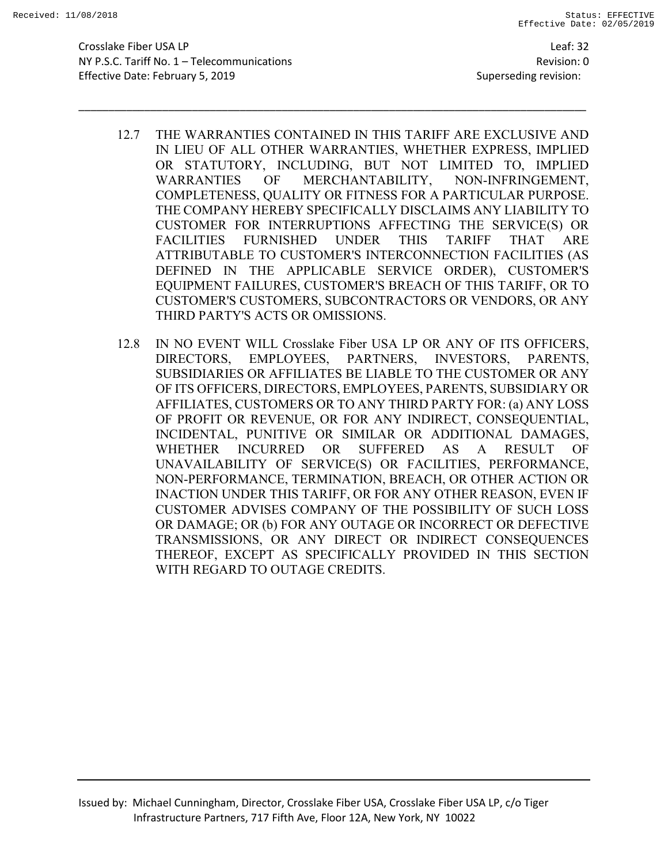Crosslake Fiber USA LP Leaf: 32 NY P.S.C. Tariff No. 1 – Telecommunications Revision: 0 Effective Date: February 5, 2019 Superseding revision:

12.7 THE WARRANTIES CONTAINED IN THIS TARIFF ARE EXCLUSIVE AND IN LIEU OF ALL OTHER WARRANTIES, WHETHER EXPRESS, IMPLIED OR STATUTORY, INCLUDING, BUT NOT LIMITED TO, IMPLIED WARRANTIES OF MERCHANTABILITY, NON-INFRINGEMENT, COMPLETENESS, QUALITY OR FITNESS FOR A PARTICULAR PURPOSE. THE COMPANY HEREBY SPECIFICALLY DISCLAIMS ANY LIABILITY TO CUSTOMER FOR INTERRUPTIONS AFFECTING THE SERVICE(S) OR FACILITIES FURNISHED UNDER THIS TARIFF THAT ARE ATTRIBUTABLE TO CUSTOMER'S INTERCONNECTION FACILITIES (AS DEFINED IN THE APPLICABLE SERVICE ORDER), CUSTOMER'S EQUIPMENT FAILURES, CUSTOMER'S BREACH OF THIS TARIFF, OR TO CUSTOMER'S CUSTOMERS, SUBCONTRACTORS OR VENDORS, OR ANY THIRD PARTY'S ACTS OR OMISSIONS.

\_\_\_\_\_\_\_\_\_\_\_\_\_\_\_\_\_\_\_\_\_\_\_\_\_\_\_\_\_\_\_\_\_\_\_\_\_\_\_\_\_\_\_\_\_\_\_\_\_\_\_\_\_\_\_\_\_\_\_\_\_\_\_\_\_\_\_\_\_\_\_\_\_\_\_\_\_\_\_\_\_\_\_\_\_

12.8 IN NO EVENT WILL Crosslake Fiber USA LP OR ANY OF ITS OFFICERS, DIRECTORS, EMPLOYEES, PARTNERS, INVESTORS, PARENTS, SUBSIDIARIES OR AFFILIATES BE LIABLE TO THE CUSTOMER OR ANY OF ITS OFFICERS, DIRECTORS, EMPLOYEES, PARENTS, SUBSIDIARY OR AFFILIATES, CUSTOMERS OR TO ANY THIRD PARTY FOR: (a) ANY LOSS OF PROFIT OR REVENUE, OR FOR ANY INDIRECT, CONSEQUENTIAL, INCIDENTAL, PUNITIVE OR SIMILAR OR ADDITIONAL DAMAGES, WHETHER INCURRED OR SUFFERED AS A RESULT OF UNAVAILABILITY OF SERVICE(S) OR FACILITIES, PERFORMANCE, NON-PERFORMANCE, TERMINATION, BREACH, OR OTHER ACTION OR INACTION UNDER THIS TARIFF, OR FOR ANY OTHER REASON, EVEN IF CUSTOMER ADVISES COMPANY OF THE POSSIBILITY OF SUCH LOSS OR DAMAGE; OR (b) FOR ANY OUTAGE OR INCORRECT OR DEFECTIVE TRANSMISSIONS, OR ANY DIRECT OR INDIRECT CONSEQUENCES THEREOF, EXCEPT AS SPECIFICALLY PROVIDED IN THIS SECTION WITH REGARD TO OUTAGE CREDITS.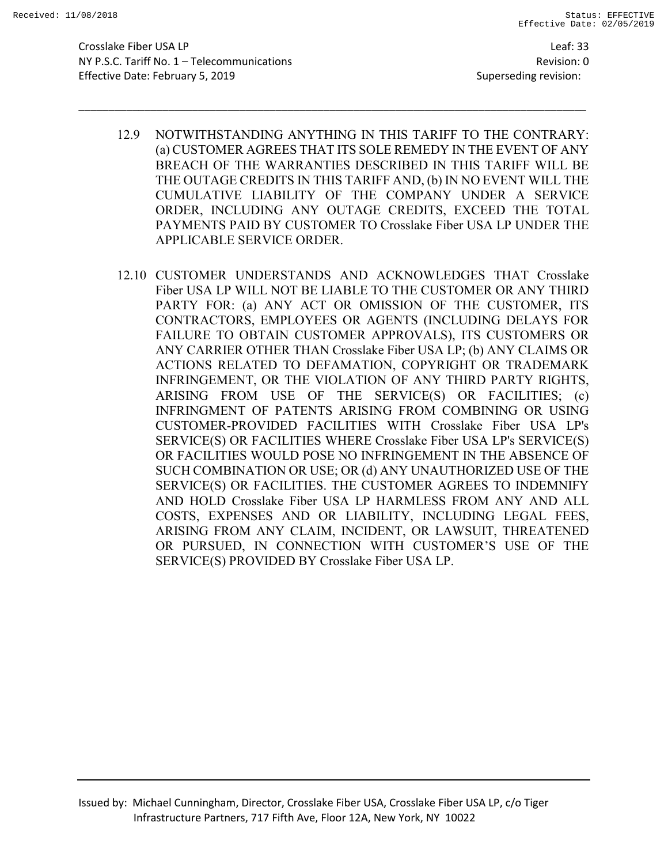Crosslake Fiber USA LP Leaf: 33 NY P.S.C. Tariff No. 1 – Telecommunications Revision: 0 Effective Date: February 5, 2019 Superseding revision:

12.9 NOTWITHSTANDING ANYTHING IN THIS TARIFF TO THE CONTRARY: (a) CUSTOMER AGREES THAT ITS SOLE REMEDY IN THE EVENT OF ANY BREACH OF THE WARRANTIES DESCRIBED IN THIS TARIFF WILL BE THE OUTAGE CREDITS IN THIS TARIFF AND, (b) IN NO EVENT WILL THE CUMULATIVE LIABILITY OF THE COMPANY UNDER A SERVICE ORDER, INCLUDING ANY OUTAGE CREDITS, EXCEED THE TOTAL PAYMENTS PAID BY CUSTOMER TO Crosslake Fiber USA LP UNDER THE APPLICABLE SERVICE ORDER.

\_\_\_\_\_\_\_\_\_\_\_\_\_\_\_\_\_\_\_\_\_\_\_\_\_\_\_\_\_\_\_\_\_\_\_\_\_\_\_\_\_\_\_\_\_\_\_\_\_\_\_\_\_\_\_\_\_\_\_\_\_\_\_\_\_\_\_\_\_\_\_\_\_\_\_\_\_\_\_\_\_\_\_\_\_

12.10 CUSTOMER UNDERSTANDS AND ACKNOWLEDGES THAT Crosslake Fiber USA LP WILL NOT BE LIABLE TO THE CUSTOMER OR ANY THIRD PARTY FOR: (a) ANY ACT OR OMISSION OF THE CUSTOMER, ITS CONTRACTORS, EMPLOYEES OR AGENTS (INCLUDING DELAYS FOR FAILURE TO OBTAIN CUSTOMER APPROVALS), ITS CUSTOMERS OR ANY CARRIER OTHER THAN Crosslake Fiber USA LP; (b) ANY CLAIMS OR ACTIONS RELATED TO DEFAMATION, COPYRIGHT OR TRADEMARK INFRINGEMENT, OR THE VIOLATION OF ANY THIRD PARTY RIGHTS, ARISING FROM USE OF THE SERVICE(S) OR FACILITIES; (c) INFRINGMENT OF PATENTS ARISING FROM COMBINING OR USING CUSTOMER-PROVIDED FACILITIES WITH Crosslake Fiber USA LP's SERVICE(S) OR FACILITIES WHERE Crosslake Fiber USA LP's SERVICE(S) OR FACILITIES WOULD POSE NO INFRINGEMENT IN THE ABSENCE OF SUCH COMBINATION OR USE; OR (d) ANY UNAUTHORIZED USE OF THE SERVICE(S) OR FACILITIES. THE CUSTOMER AGREES TO INDEMNIFY AND HOLD Crosslake Fiber USA LP HARMLESS FROM ANY AND ALL COSTS, EXPENSES AND OR LIABILITY, INCLUDING LEGAL FEES, ARISING FROM ANY CLAIM, INCIDENT, OR LAWSUIT, THREATENED OR PURSUED, IN CONNECTION WITH CUSTOMER'S USE OF THE SERVICE(S) PROVIDED BY Crosslake Fiber USA LP.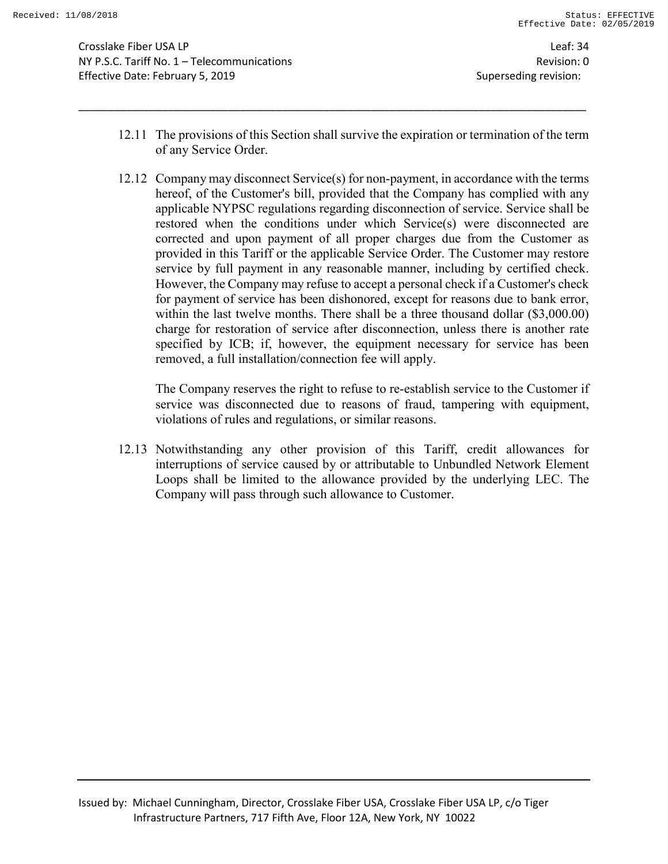Crosslake Fiber USA LP Leaf: 34 NY P.S.C. Tariff No. 1 – Telecommunications Revision: 0 Effective Date: February 5, 2019 Superseding revision:

12.11 The provisions of this Section shall survive the expiration or termination of the term of any Service Order.

\_\_\_\_\_\_\_\_\_\_\_\_\_\_\_\_\_\_\_\_\_\_\_\_\_\_\_\_\_\_\_\_\_\_\_\_\_\_\_\_\_\_\_\_\_\_\_\_\_\_\_\_\_\_\_\_\_\_\_\_\_\_\_\_\_\_\_\_\_\_\_\_\_\_\_\_\_\_\_\_\_\_\_\_\_

12.12 Company may disconnect Service(s) for non-payment, in accordance with the terms hereof, of the Customer's bill, provided that the Company has complied with any applicable NYPSC regulations regarding disconnection of service. Service shall be restored when the conditions under which Service(s) were disconnected are corrected and upon payment of all proper charges due from the Customer as provided in this Tariff or the applicable Service Order. The Customer may restore service by full payment in any reasonable manner, including by certified check. However, the Company may refuse to accept a personal check if a Customer's check for payment of service has been dishonored, except for reasons due to bank error, within the last twelve months. There shall be a three thousand dollar (\$3,000.00) charge for restoration of service after disconnection, unless there is another rate specified by ICB; if, however, the equipment necessary for service has been removed, a full installation/connection fee will apply.

The Company reserves the right to refuse to re-establish service to the Customer if service was disconnected due to reasons of fraud, tampering with equipment, violations of rules and regulations, or similar reasons.

12.13 Notwithstanding any other provision of this Tariff, credit allowances for interruptions of service caused by or attributable to Unbundled Network Element Loops shall be limited to the allowance provided by the underlying LEC. The Company will pass through such allowance to Customer.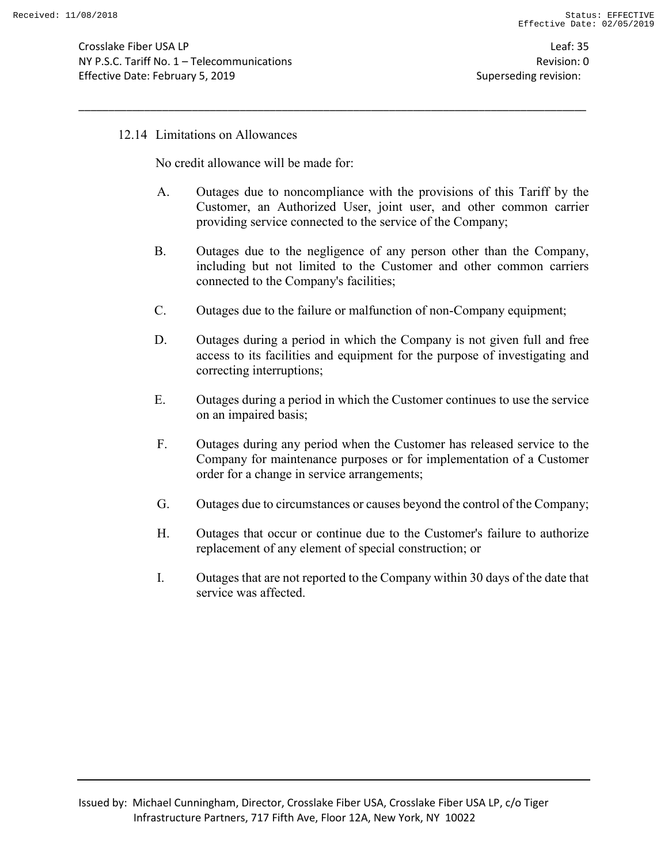Crosslake Fiber USA LP Leaf: 35 NY P.S.C. Tariff No. 1 – Telecommunications Revision: 0 Effective Date: February 5, 2019 **Superseding revision:** Superseding revision:

#### 12.14 Limitations on Allowances

No credit allowance will be made for:

A. Outages due to noncompliance with the provisions of this Tariff by the Customer, an Authorized User, joint user, and other common carrier providing service connected to the service of the Company;

- B. Outages due to the negligence of any person other than the Company, including but not limited to the Customer and other common carriers connected to the Company's facilities;
- C. Outages due to the failure or malfunction of non-Company equipment;
- D. Outages during a period in which the Company is not given full and free access to its facilities and equipment for the purpose of investigating and correcting interruptions;
- E. Outages during a period in which the Customer continues to use the service on an impaired basis;
- F. Outages during any period when the Customer has released service to the Company for maintenance purposes or for implementation of a Customer order for a change in service arrangements;
- G. Outages due to circumstances or causes beyond the control of the Company;
- H. Outages that occur or continue due to the Customer's failure to authorize replacement of any element of special construction; or
- I. Outages that are not reported to the Company within 30 days of the date that service was affected.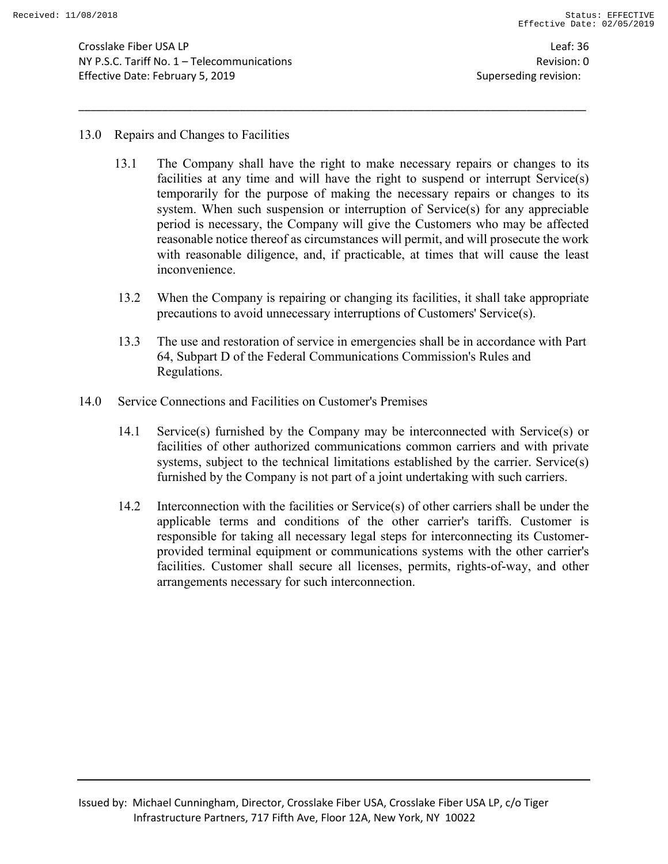Crosslake Fiber USA LP Leaf: 36 NY P.S.C. Tariff No. 1 – Telecommunications Revision: 0 Effective Date: February 5, 2019 Superseding revision:

#### 13.0 Repairs and Changes to Facilities

13.1 The Company shall have the right to make necessary repairs or changes to its facilities at any time and will have the right to suspend or interrupt Service(s) temporarily for the purpose of making the necessary repairs or changes to its system. When such suspension or interruption of Service(s) for any appreciable period is necessary, the Company will give the Customers who may be affected reasonable notice thereof as circumstances will permit, and will prosecute the work with reasonable diligence, and, if practicable, at times that will cause the least inconvenience.

- 13.2 When the Company is repairing or changing its facilities, it shall take appropriate precautions to avoid unnecessary interruptions of Customers' Service(s).
- 13.3 The use and restoration of service in emergencies shall be in accordance with Part 64, Subpart D of the Federal Communications Commission's Rules and Regulations.
- 14.0 Service Connections and Facilities on Customer's Premises
	- 14.1 Service(s) furnished by the Company may be interconnected with Service(s) or facilities of other authorized communications common carriers and with private systems, subject to the technical limitations established by the carrier. Service(s) furnished by the Company is not part of a joint undertaking with such carriers.
	- 14.2 Interconnection with the facilities or Service(s) of other carriers shall be under the applicable terms and conditions of the other carrier's tariffs. Customer is responsible for taking all necessary legal steps for interconnecting its Customerprovided terminal equipment or communications systems with the other carrier's facilities. Customer shall secure all licenses, permits, rights-of-way, and other arrangements necessary for such interconnection.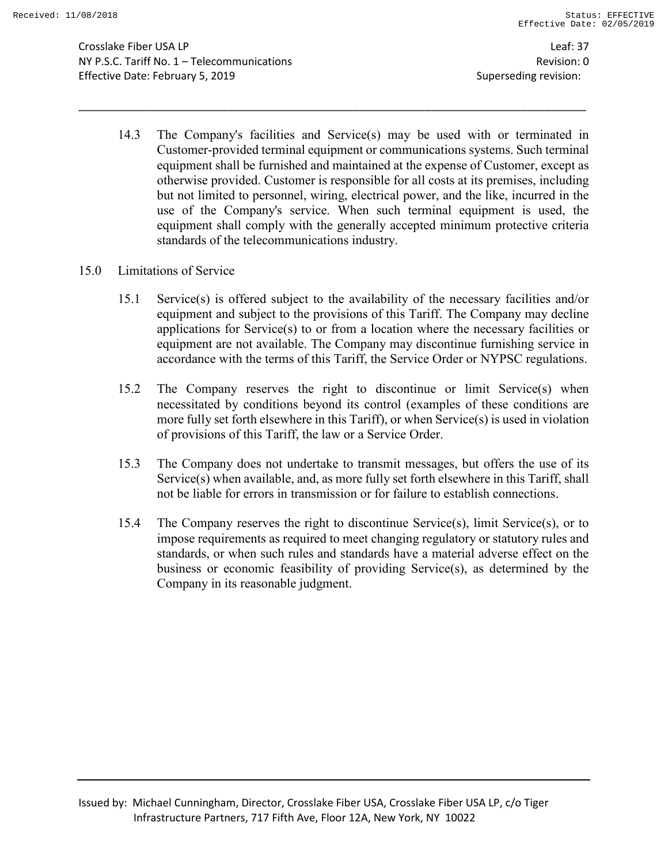Crosslake Fiber USA LP Leaf: 37 NY P.S.C. Tariff No. 1 – Telecommunications Revision: 0 Effective Date: February 5, 2019 Superseding revision:

14.3 The Company's facilities and Service(s) may be used with or terminated in Customer-provided terminal equipment or communications systems. Such terminal equipment shall be furnished and maintained at the expense of Customer, except as otherwise provided. Customer is responsible for all costs at its premises, including but not limited to personnel, wiring, electrical power, and the like, incurred in the use of the Company's service. When such terminal equipment is used, the equipment shall comply with the generally accepted minimum protective criteria standards of the telecommunications industry.

- 15.0 Limitations of Service
	- 15.1 Service(s) is offered subject to the availability of the necessary facilities and/or equipment and subject to the provisions of this Tariff. The Company may decline applications for Service(s) to or from a location where the necessary facilities or equipment are not available. The Company may discontinue furnishing service in accordance with the terms of this Tariff, the Service Order or NYPSC regulations.
	- 15.2 The Company reserves the right to discontinue or limit Service(s) when necessitated by conditions beyond its control (examples of these conditions are more fully set forth elsewhere in this Tariff), or when Service(s) is used in violation of provisions of this Tariff, the law or a Service Order.
	- 15.3 The Company does not undertake to transmit messages, but offers the use of its Service(s) when available, and, as more fully set forth elsewhere in this Tariff, shall not be liable for errors in transmission or for failure to establish connections.
	- 15.4 The Company reserves the right to discontinue Service(s), limit Service(s), or to impose requirements as required to meet changing regulatory or statutory rules and standards, or when such rules and standards have a material adverse effect on the business or economic feasibility of providing Service(s), as determined by the Company in its reasonable judgment.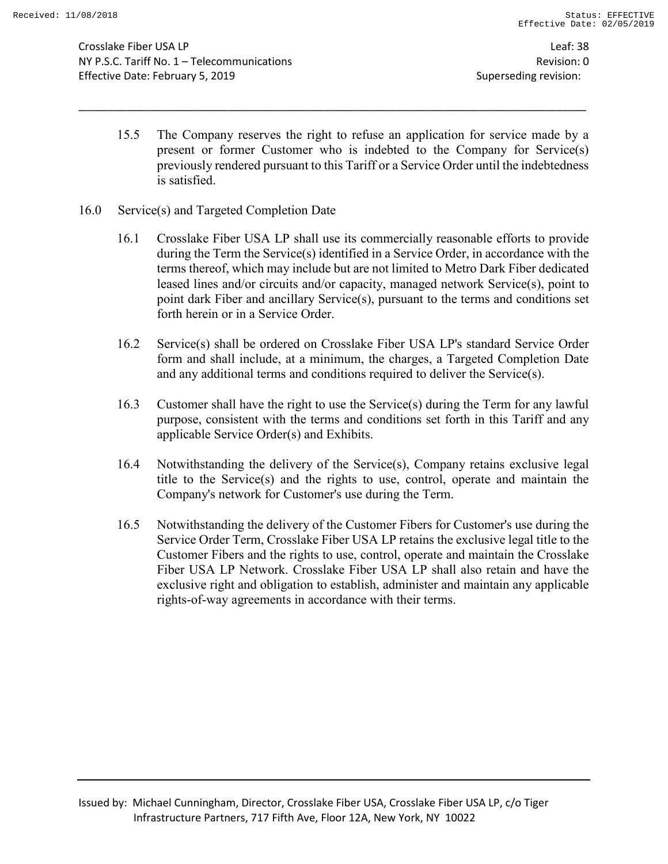Crosslake Fiber USA LP Leaf: 38 NY P.S.C. Tariff No. 1 – Telecommunications Revision: 0 Effective Date: February 5, 2019 Superseding revision:

15.5 The Company reserves the right to refuse an application for service made by a present or former Customer who is indebted to the Company for Service(s) previously rendered pursuant to this Tariff or a Service Order until the indebtedness is satisfied.

- 16.0 Service(s) and Targeted Completion Date
	- 16.1 Crosslake Fiber USA LP shall use its commercially reasonable efforts to provide during the Term the Service(s) identified in a Service Order, in accordance with the terms thereof, which may include but are not limited to Metro Dark Fiber dedicated leased lines and/or circuits and/or capacity, managed network Service(s), point to point dark Fiber and ancillary Service(s), pursuant to the terms and conditions set forth herein or in a Service Order.
	- 16.2 Service(s) shall be ordered on Crosslake Fiber USA LP's standard Service Order form and shall include, at a minimum, the charges, a Targeted Completion Date and any additional terms and conditions required to deliver the Service(s).
	- 16.3 Customer shall have the right to use the Service(s) during the Term for any lawful purpose, consistent with the terms and conditions set forth in this Tariff and any applicable Service Order(s) and Exhibits.
	- 16.4 Notwithstanding the delivery of the Service(s), Company retains exclusive legal title to the Service(s) and the rights to use, control, operate and maintain the Company's network for Customer's use during the Term.
	- 16.5 Notwithstanding the delivery of the Customer Fibers for Customer's use during the Service Order Term, Crosslake Fiber USA LP retains the exclusive legal title to the Customer Fibers and the rights to use, control, operate and maintain the Crosslake Fiber USA LP Network. Crosslake Fiber USA LP shall also retain and have the exclusive right and obligation to establish, administer and maintain any applicable rights-of-way agreements in accordance with their terms.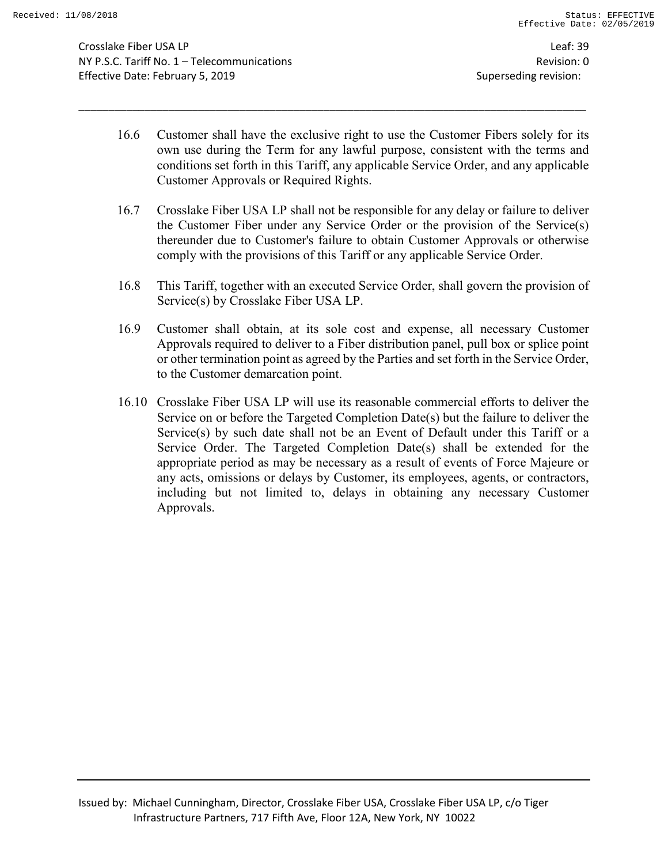Crosslake Fiber USA LP Leaf: 39 NY P.S.C. Tariff No. 1 – Telecommunications Revision: 0 Effective Date: February 5, 2019 Superseding revision:

16.6 Customer shall have the exclusive right to use the Customer Fibers solely for its own use during the Term for any lawful purpose, consistent with the terms and conditions set forth in this Tariff, any applicable Service Order, and any applicable Customer Approvals or Required Rights.

- 16.7 Crosslake Fiber USA LP shall not be responsible for any delay or failure to deliver the Customer Fiber under any Service Order or the provision of the Service(s) thereunder due to Customer's failure to obtain Customer Approvals or otherwise comply with the provisions of this Tariff or any applicable Service Order.
- 16.8 This Tariff, together with an executed Service Order, shall govern the provision of Service(s) by Crosslake Fiber USA LP.
- 16.9 Customer shall obtain, at its sole cost and expense, all necessary Customer Approvals required to deliver to a Fiber distribution panel, pull box or splice point or other termination point as agreed by the Parties and set forth in the Service Order, to the Customer demarcation point.
- 16.10 Crosslake Fiber USA LP will use its reasonable commercial efforts to deliver the Service on or before the Targeted Completion Date(s) but the failure to deliver the Service(s) by such date shall not be an Event of Default under this Tariff or a Service Order. The Targeted Completion Date(s) shall be extended for the appropriate period as may be necessary as a result of events of Force Majeure or any acts, omissions or delays by Customer, its employees, agents, or contractors, including but not limited to, delays in obtaining any necessary Customer Approvals.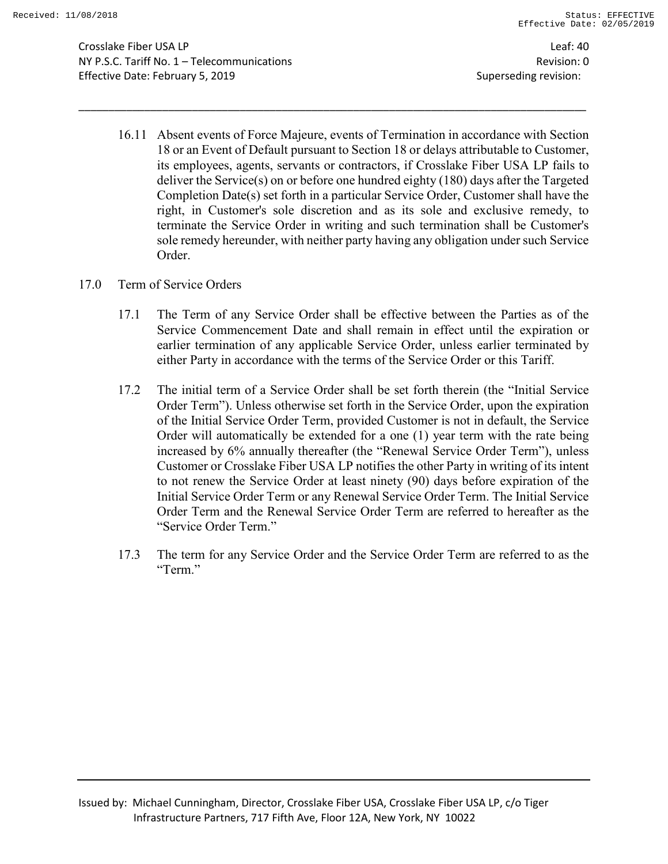Crosslake Fiber USA LP Leaf: 40 NY P.S.C. Tariff No. 1 – Telecommunications Revision: 0 Effective Date: February 5, 2019 **Superseding revision:** Superseding revision:

16.11 Absent events of Force Majeure, events of Termination in accordance with Section 18 or an Event of Default pursuant to Section 18 or delays attributable to Customer, its employees, agents, servants or contractors, if Crosslake Fiber USA LP fails to deliver the Service(s) on or before one hundred eighty (180) days after the Targeted Completion Date(s) set forth in a particular Service Order, Customer shall have the right, in Customer's sole discretion and as its sole and exclusive remedy, to terminate the Service Order in writing and such termination shall be Customer's sole remedy hereunder, with neither party having any obligation under such Service Order.

- 17.0 Term of Service Orders
	- 17.1 The Term of any Service Order shall be effective between the Parties as of the Service Commencement Date and shall remain in effect until the expiration or earlier termination of any applicable Service Order, unless earlier terminated by either Party in accordance with the terms of the Service Order or this Tariff.
	- 17.2 The initial term of a Service Order shall be set forth therein (the "Initial Service Order Term"). Unless otherwise set forth in the Service Order, upon the expiration of the Initial Service Order Term, provided Customer is not in default, the Service Order will automatically be extended for a one (1) year term with the rate being increased by 6% annually thereafter (the "Renewal Service Order Term"), unless Customer or Crosslake Fiber USA LP notifies the other Party in writing of its intent to not renew the Service Order at least ninety (90) days before expiration of the Initial Service Order Term or any Renewal Service Order Term. The Initial Service Order Term and the Renewal Service Order Term are referred to hereafter as the "Service Order Term."
	- 17.3 The term for any Service Order and the Service Order Term are referred to as the "Term."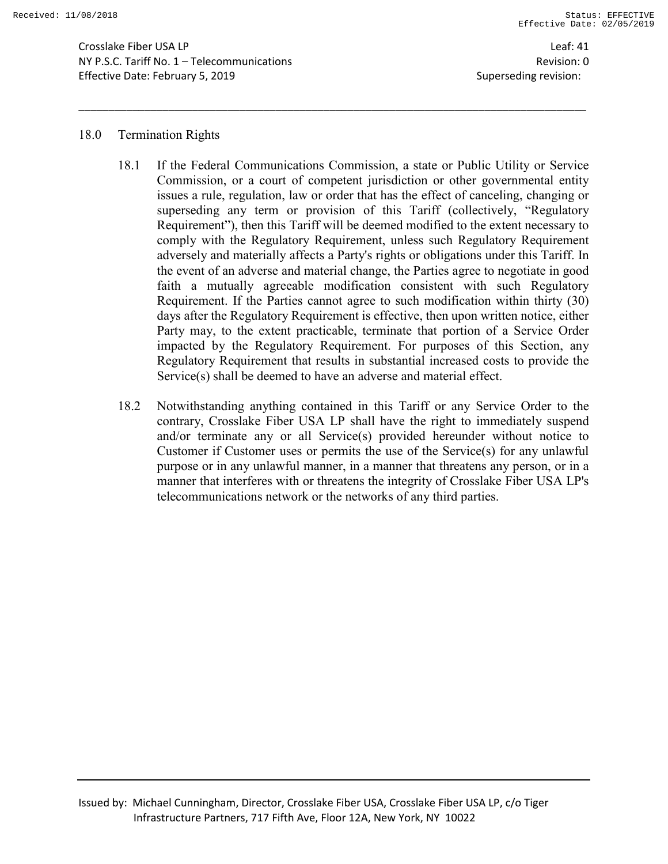Crosslake Fiber USA LP Leaf: 41 NY P.S.C. Tariff No. 1 – Telecommunications Revision: 0 Effective Date: February 5, 2019 Superseding revision:

#### 18.0 Termination Rights

18.1 If the Federal Communications Commission, a state or Public Utility or Service Commission, or a court of competent jurisdiction or other governmental entity issues a rule, regulation, law or order that has the effect of canceling, changing or superseding any term or provision of this Tariff (collectively, "Regulatory Requirement"), then this Tariff will be deemed modified to the extent necessary to comply with the Regulatory Requirement, unless such Regulatory Requirement adversely and materially affects a Party's rights or obligations under this Tariff. In the event of an adverse and material change, the Parties agree to negotiate in good faith a mutually agreeable modification consistent with such Regulatory Requirement. If the Parties cannot agree to such modification within thirty (30) days after the Regulatory Requirement is effective, then upon written notice, either Party may, to the extent practicable, terminate that portion of a Service Order impacted by the Regulatory Requirement. For purposes of this Section, any Regulatory Requirement that results in substantial increased costs to provide the Service(s) shall be deemed to have an adverse and material effect.

\_\_\_\_\_\_\_\_\_\_\_\_\_\_\_\_\_\_\_\_\_\_\_\_\_\_\_\_\_\_\_\_\_\_\_\_\_\_\_\_\_\_\_\_\_\_\_\_\_\_\_\_\_\_\_\_\_\_\_\_\_\_\_\_\_\_\_\_\_\_\_\_\_\_\_\_\_\_\_\_\_\_\_\_\_

18.2 Notwithstanding anything contained in this Tariff or any Service Order to the contrary, Crosslake Fiber USA LP shall have the right to immediately suspend and/or terminate any or all Service(s) provided hereunder without notice to Customer if Customer uses or permits the use of the Service(s) for any unlawful purpose or in any unlawful manner, in a manner that threatens any person, or in a manner that interferes with or threatens the integrity of Crosslake Fiber USA LP's telecommunications network or the networks of any third parties.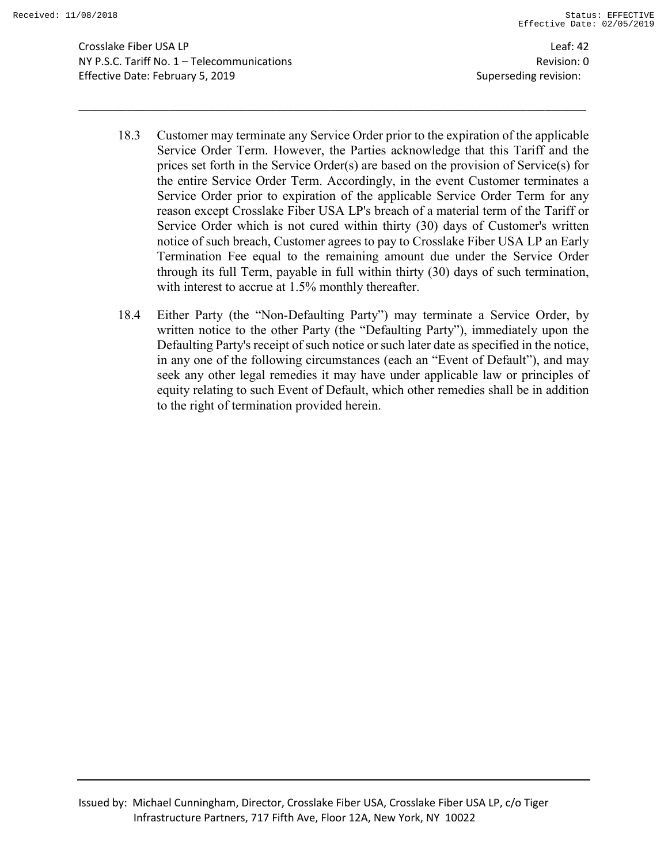Crosslake Fiber USA LP Leaf: 42 NY P.S.C. Tariff No. 1 – Telecommunications Revision: 0 Effective Date: February 5, 2019 Superseding revision:

18.3 Customer may terminate any Service Order prior to the expiration of the applicable Service Order Term. However, the Parties acknowledge that this Tariff and the prices set forth in the Service Order(s) are based on the provision of Service(s) for the entire Service Order Term. Accordingly, in the event Customer terminates a Service Order prior to expiration of the applicable Service Order Term for any reason except Crosslake Fiber USA LP's breach of a material term of the Tariff or Service Order which is not cured within thirty (30) days of Customer's written notice of such breach, Customer agrees to pay to Crosslake Fiber USA LP an Early Termination Fee equal to the remaining amount due under the Service Order through its full Term, payable in full within thirty (30) days of such termination, with interest to accrue at 1.5% monthly thereafter.

\_\_\_\_\_\_\_\_\_\_\_\_\_\_\_\_\_\_\_\_\_\_\_\_\_\_\_\_\_\_\_\_\_\_\_\_\_\_\_\_\_\_\_\_\_\_\_\_\_\_\_\_\_\_\_\_\_\_\_\_\_\_\_\_\_\_\_\_\_\_\_\_\_\_\_\_\_\_\_\_\_\_\_\_\_

18.4 Either Party (the "Non-Defaulting Party") may terminate a Service Order, by written notice to the other Party (the "Defaulting Party"), immediately upon the Defaulting Party's receipt of such notice or such later date as specified in the notice, in any one of the following circumstances (each an "Event of Default"), and may seek any other legal remedies it may have under applicable law or principles of equity relating to such Event of Default, which other remedies shall be in addition to the right of termination provided herein.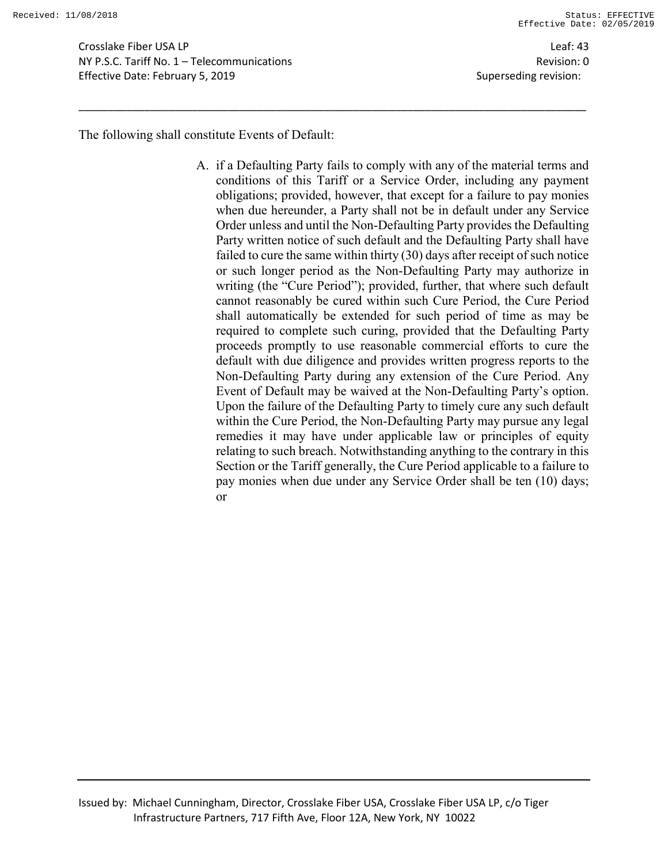Crosslake Fiber USA LP Leaf: 43 NY P.S.C. Tariff No. 1 – Telecommunications Revision: 0 Effective Date: February 5, 2019 Superseding revision:

The following shall constitute Events of Default:

A. if a Defaulting Party fails to comply with any of the material terms and conditions of this Tariff or a Service Order, including any payment obligations; provided, however, that except for a failure to pay monies when due hereunder, a Party shall not be in default under any Service Order unless and until the Non-Defaulting Party provides the Defaulting Party written notice of such default and the Defaulting Party shall have failed to cure the same within thirty (30) days after receipt of such notice or such longer period as the Non-Defaulting Party may authorize in writing (the "Cure Period"); provided, further, that where such default cannot reasonably be cured within such Cure Period, the Cure Period shall automatically be extended for such period of time as may be required to complete such curing, provided that the Defaulting Party proceeds promptly to use reasonable commercial efforts to cure the default with due diligence and provides written progress reports to the Non-Defaulting Party during any extension of the Cure Period. Any Event of Default may be waived at the Non-Defaulting Party's option. Upon the failure of the Defaulting Party to timely cure any such default within the Cure Period, the Non-Defaulting Party may pursue any legal remedies it may have under applicable law or principles of equity relating to such breach. Notwithstanding anything to the contrary in this Section or the Tariff generally, the Cure Period applicable to a failure to pay monies when due under any Service Order shall be ten (10) days; or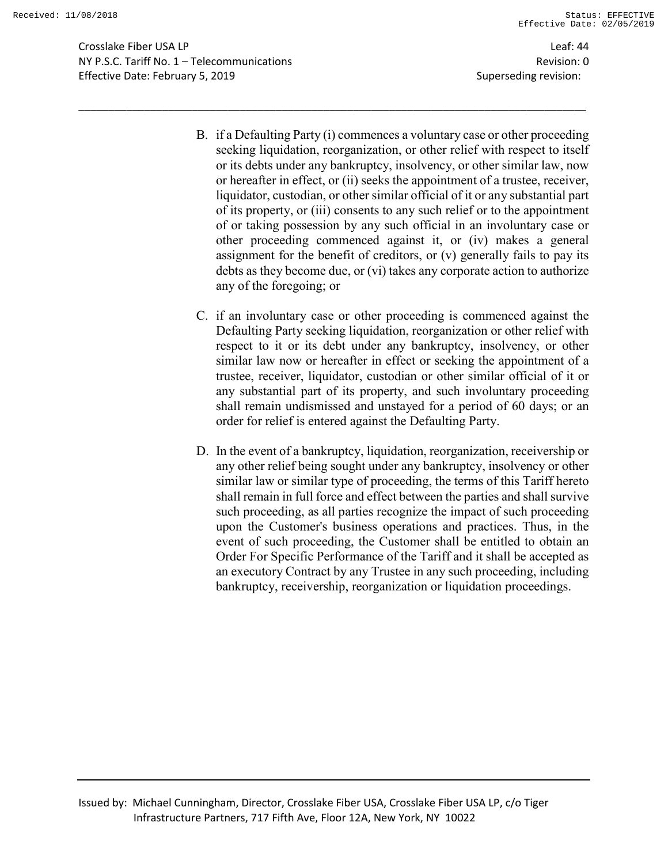Crosslake Fiber USA LP Leaf: 44 NY P.S.C. Tariff No. 1 – Telecommunications Revision: 0 Effective Date: February 5, 2019 Superseding revision:

B. if a Defaulting Party (i) commences a voluntary case or other proceeding seeking liquidation, reorganization, or other relief with respect to itself or its debts under any bankruptcy, insolvency, or other similar law, now or hereafter in effect, or (ii) seeks the appointment of a trustee, receiver, liquidator, custodian, or other similar official of it or any substantial part of its property, or (iii) consents to any such relief or to the appointment of or taking possession by any such official in an involuntary case or other proceeding commenced against it, or (iv) makes a general assignment for the benefit of creditors, or (v) generally fails to pay its debts as they become due, or (vi) takes any corporate action to authorize any of the foregoing; or

- C. if an involuntary case or other proceeding is commenced against the Defaulting Party seeking liquidation, reorganization or other relief with respect to it or its debt under any bankruptcy, insolvency, or other similar law now or hereafter in effect or seeking the appointment of a trustee, receiver, liquidator, custodian or other similar official of it or any substantial part of its property, and such involuntary proceeding shall remain undismissed and unstayed for a period of 60 days; or an order for relief is entered against the Defaulting Party.
- D. In the event of a bankruptcy, liquidation, reorganization, receivership or any other relief being sought under any bankruptcy, insolvency or other similar law or similar type of proceeding, the terms of this Tariff hereto shall remain in full force and effect between the parties and shall survive such proceeding, as all parties recognize the impact of such proceeding upon the Customer's business operations and practices. Thus, in the event of such proceeding, the Customer shall be entitled to obtain an Order For Specific Performance of the Tariff and it shall be accepted as an executory Contract by any Trustee in any such proceeding, including bankruptcy, receivership, reorganization or liquidation proceedings.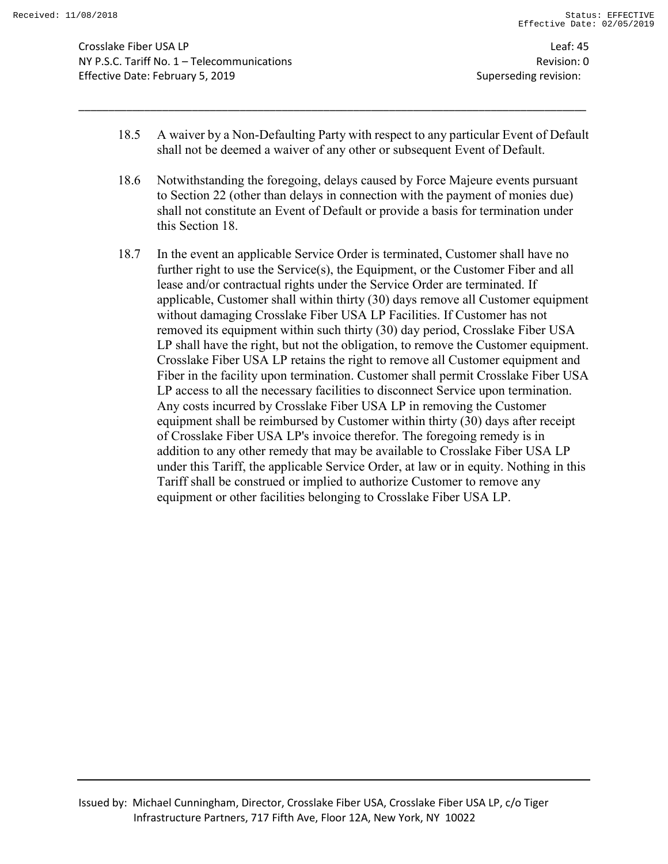Crosslake Fiber USA LP Leaf: 45 NY P.S.C. Tariff No. 1 – Telecommunications Revision: 0 Effective Date: February 5, 2019 Superseding revision:

18.5 A waiver by a Non-Defaulting Party with respect to any particular Event of Default shall not be deemed a waiver of any other or subsequent Event of Default.

- 18.6 Notwithstanding the foregoing, delays caused by Force Majeure events pursuant to Section 22 (other than delays in connection with the payment of monies due) shall not constitute an Event of Default or provide a basis for termination under this Section 18.
- 18.7 In the event an applicable Service Order is terminated, Customer shall have no further right to use the Service(s), the Equipment, or the Customer Fiber and all lease and/or contractual rights under the Service Order are terminated. If applicable, Customer shall within thirty (30) days remove all Customer equipment without damaging Crosslake Fiber USA LP Facilities. If Customer has not removed its equipment within such thirty (30) day period, Crosslake Fiber USA LP shall have the right, but not the obligation, to remove the Customer equipment. Crosslake Fiber USA LP retains the right to remove all Customer equipment and Fiber in the facility upon termination. Customer shall permit Crosslake Fiber USA LP access to all the necessary facilities to disconnect Service upon termination. Any costs incurred by Crosslake Fiber USA LP in removing the Customer equipment shall be reimbursed by Customer within thirty (30) days after receipt of Crosslake Fiber USA LP's invoice therefor. The foregoing remedy is in addition to any other remedy that may be available to Crosslake Fiber USA LP under this Tariff, the applicable Service Order, at law or in equity. Nothing in this Tariff shall be construed or implied to authorize Customer to remove any equipment or other facilities belonging to Crosslake Fiber USA LP.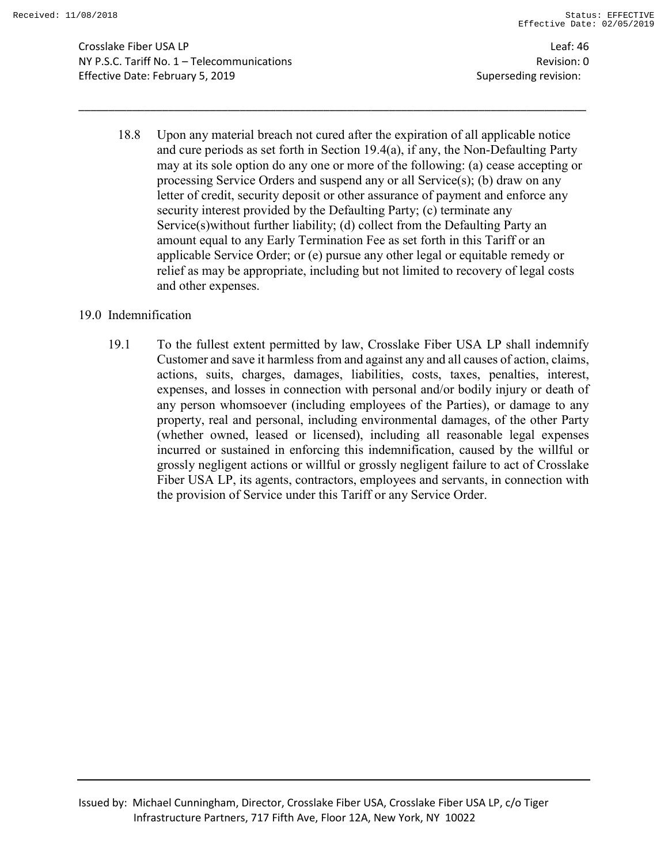Crosslake Fiber USA LP Leaf: 46 NY P.S.C. Tariff No. 1 – Telecommunications Revision: 0 Effective Date: February 5, 2019 Superseding revision:

18.8 Upon any material breach not cured after the expiration of all applicable notice and cure periods as set forth in Section 19.4(a), if any, the Non-Defaulting Party may at its sole option do any one or more of the following: (a) cease accepting or processing Service Orders and suspend any or all Service(s); (b) draw on any letter of credit, security deposit or other assurance of payment and enforce any security interest provided by the Defaulting Party; (c) terminate any Service(s)without further liability; (d) collect from the Defaulting Party an amount equal to any Early Termination Fee as set forth in this Tariff or an applicable Service Order; or (e) pursue any other legal or equitable remedy or relief as may be appropriate, including but not limited to recovery of legal costs and other expenses.

\_\_\_\_\_\_\_\_\_\_\_\_\_\_\_\_\_\_\_\_\_\_\_\_\_\_\_\_\_\_\_\_\_\_\_\_\_\_\_\_\_\_\_\_\_\_\_\_\_\_\_\_\_\_\_\_\_\_\_\_\_\_\_\_\_\_\_\_\_\_\_\_\_\_\_\_\_\_\_\_\_\_\_\_\_

#### 19.0 Indemnification

19.1 To the fullest extent permitted by law, Crosslake Fiber USA LP shall indemnify Customer and save it harmless from and against any and all causes of action, claims, actions, suits, charges, damages, liabilities, costs, taxes, penalties, interest, expenses, and losses in connection with personal and/or bodily injury or death of any person whomsoever (including employees of the Parties), or damage to any property, real and personal, including environmental damages, of the other Party (whether owned, leased or licensed), including all reasonable legal expenses incurred or sustained in enforcing this indemnification, caused by the willful or grossly negligent actions or willful or grossly negligent failure to act of Crosslake Fiber USA LP, its agents, contractors, employees and servants, in connection with the provision of Service under this Tariff or any Service Order.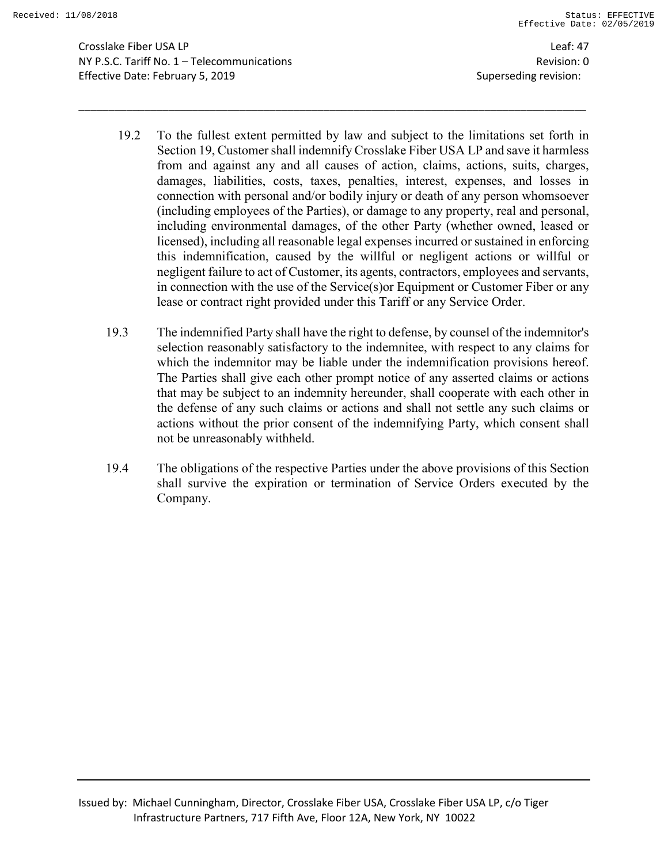Crosslake Fiber USA LP Leaf: 47 NY P.S.C. Tariff No. 1 – Telecommunications Revision: 0 Effective Date: February 5, 2019 **Superseding revision:** Superseding revision:

19.2 To the fullest extent permitted by law and subject to the limitations set forth in Section 19, Customer shall indemnify Crosslake Fiber USA LP and save it harmless from and against any and all causes of action, claims, actions, suits, charges, damages, liabilities, costs, taxes, penalties, interest, expenses, and losses in connection with personal and/or bodily injury or death of any person whomsoever (including employees of the Parties), or damage to any property, real and personal, including environmental damages, of the other Party (whether owned, leased or licensed), including all reasonable legal expenses incurred or sustained in enforcing this indemnification, caused by the willful or negligent actions or willful or negligent failure to act of Customer, its agents, contractors, employees and servants, in connection with the use of the Service(s)or Equipment or Customer Fiber or any lease or contract right provided under this Tariff or any Service Order.

- 19.3 The indemnified Party shall have the right to defense, by counsel of the indemnitor's selection reasonably satisfactory to the indemnitee, with respect to any claims for which the indemnitor may be liable under the indemnification provisions hereof. The Parties shall give each other prompt notice of any asserted claims or actions that may be subject to an indemnity hereunder, shall cooperate with each other in the defense of any such claims or actions and shall not settle any such claims or actions without the prior consent of the indemnifying Party, which consent shall not be unreasonably withheld.
- 19.4 The obligations of the respective Parties under the above provisions of this Section shall survive the expiration or termination of Service Orders executed by the Company.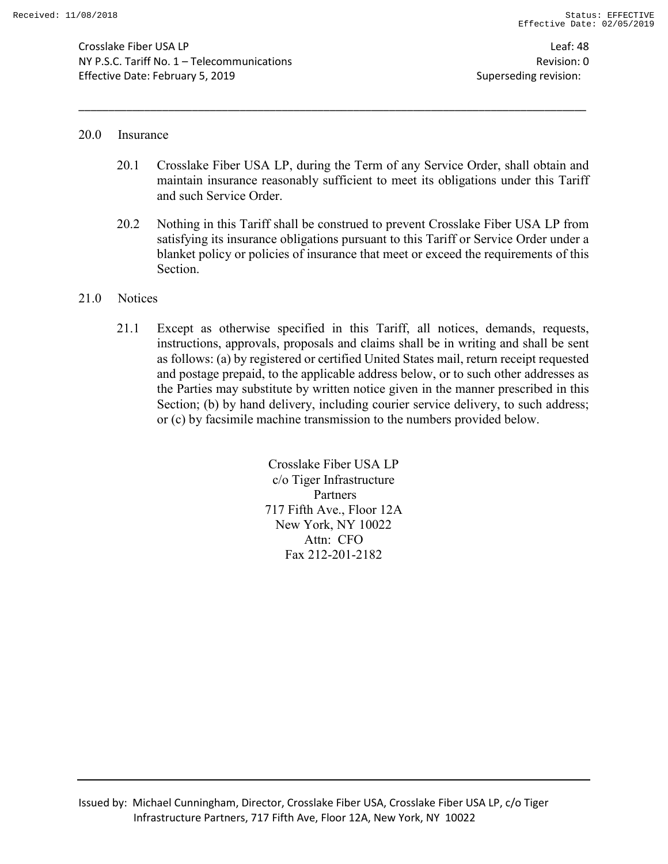Crosslake Fiber USA LP Leaf: 48 NY P.S.C. Tariff No. 1 – Telecommunications Revision: 0 Effective Date: February 5, 2019 Superseding revision:

#### 20.0 Insurance

20.1 Crosslake Fiber USA LP, during the Term of any Service Order, shall obtain and maintain insurance reasonably sufficient to meet its obligations under this Tariff and such Service Order.

\_\_\_\_\_\_\_\_\_\_\_\_\_\_\_\_\_\_\_\_\_\_\_\_\_\_\_\_\_\_\_\_\_\_\_\_\_\_\_\_\_\_\_\_\_\_\_\_\_\_\_\_\_\_\_\_\_\_\_\_\_\_\_\_\_\_\_\_\_\_\_\_\_\_\_\_\_\_\_\_\_\_\_\_\_

20.2 Nothing in this Tariff shall be construed to prevent Crosslake Fiber USA LP from satisfying its insurance obligations pursuant to this Tariff or Service Order under a blanket policy or policies of insurance that meet or exceed the requirements of this Section.

#### 21.0 Notices

21.1 Except as otherwise specified in this Tariff, all notices, demands, requests, instructions, approvals, proposals and claims shall be in writing and shall be sent as follows: (a) by registered or certified United States mail, return receipt requested and postage prepaid, to the applicable address below, or to such other addresses as the Parties may substitute by written notice given in the manner prescribed in this Section; (b) by hand delivery, including courier service delivery, to such address; or (c) by facsimile machine transmission to the numbers provided below.

> Crosslake Fiber USA LP c/o Tiger Infrastructure Partners 717 Fifth Ave., Floor 12A New York, NY 10022 Attn: CFO Fax 212-201-2182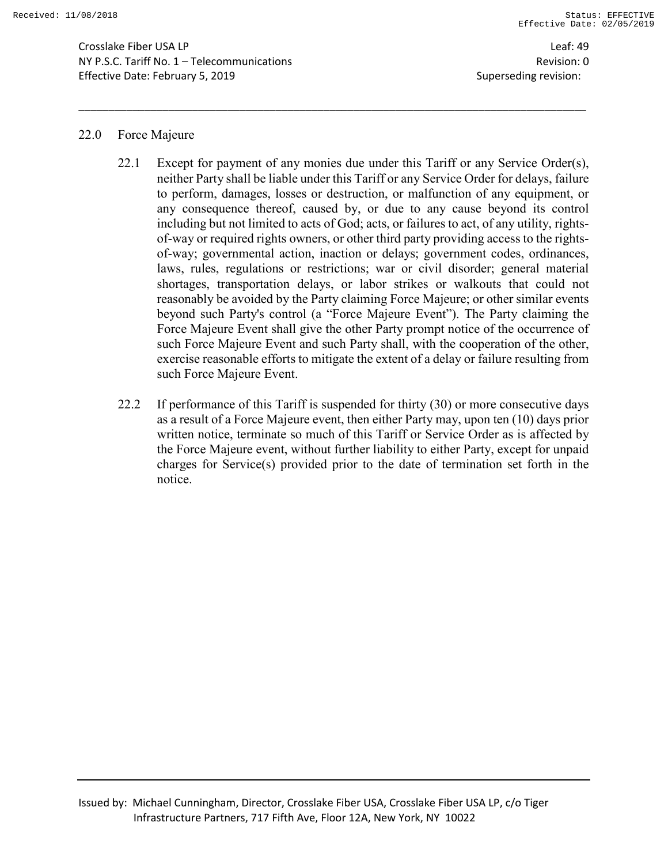Crosslake Fiber USA LP Leaf: 49 NY P.S.C. Tariff No. 1 – Telecommunications Revision: 0 Effective Date: February 5, 2019 **Superseding revision:** Superseding revision:

#### 22.0 Force Majeure

22.1 Except for payment of any monies due under this Tariff or any Service Order(s), neither Party shall be liable under this Tariff or any Service Order for delays, failure to perform, damages, losses or destruction, or malfunction of any equipment, or any consequence thereof, caused by, or due to any cause beyond its control including but not limited to acts of God; acts, or failures to act, of any utility, rightsof-way or required rights owners, or other third party providing access to the rightsof-way; governmental action, inaction or delays; government codes, ordinances, laws, rules, regulations or restrictions; war or civil disorder; general material shortages, transportation delays, or labor strikes or walkouts that could not reasonably be avoided by the Party claiming Force Majeure; or other similar events beyond such Party's control (a "Force Majeure Event"). The Party claiming the Force Majeure Event shall give the other Party prompt notice of the occurrence of such Force Majeure Event and such Party shall, with the cooperation of the other, exercise reasonable efforts to mitigate the extent of a delay or failure resulting from such Force Majeure Event.

\_\_\_\_\_\_\_\_\_\_\_\_\_\_\_\_\_\_\_\_\_\_\_\_\_\_\_\_\_\_\_\_\_\_\_\_\_\_\_\_\_\_\_\_\_\_\_\_\_\_\_\_\_\_\_\_\_\_\_\_\_\_\_\_\_\_\_\_\_\_\_\_\_\_\_\_\_\_\_\_\_\_\_\_\_

22.2 If performance of this Tariff is suspended for thirty (30) or more consecutive days as a result of a Force Majeure event, then either Party may, upon ten (10) days prior written notice, terminate so much of this Tariff or Service Order as is affected by the Force Majeure event, without further liability to either Party, except for unpaid charges for Service(s) provided prior to the date of termination set forth in the notice.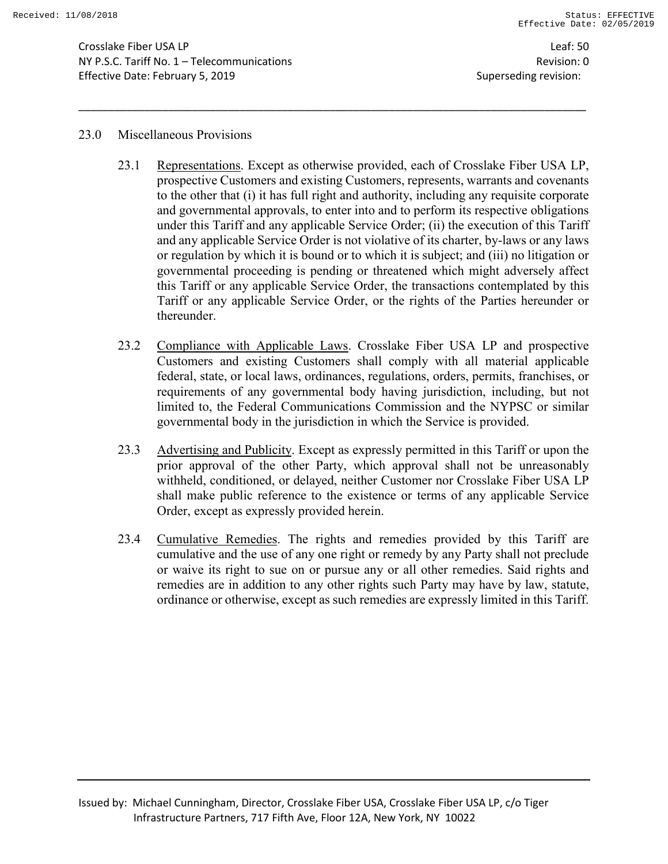Crosslake Fiber USA LP Leaf: 50 NY P.S.C. Tariff No. 1 – Telecommunications Revision: 0 Effective Date: February 5, 2019 Superseding revision:

#### 23.0 Miscellaneous Provisions

23.1 Representations. Except as otherwise provided, each of Crosslake Fiber USA LP, prospective Customers and existing Customers, represents, warrants and covenants to the other that (i) it has full right and authority, including any requisite corporate and governmental approvals, to enter into and to perform its respective obligations under this Tariff and any applicable Service Order; (ii) the execution of this Tariff and any applicable Service Order is not violative of its charter, by-laws or any laws or regulation by which it is bound or to which it is subject; and (iii) no litigation or governmental proceeding is pending or threatened which might adversely affect this Tariff or any applicable Service Order, the transactions contemplated by this Tariff or any applicable Service Order, or the rights of the Parties hereunder or thereunder.

- 23.2 Compliance with Applicable Laws. Crosslake Fiber USA LP and prospective Customers and existing Customers shall comply with all material applicable federal, state, or local laws, ordinances, regulations, orders, permits, franchises, or requirements of any governmental body having jurisdiction, including, but not limited to, the Federal Communications Commission and the NYPSC or similar governmental body in the jurisdiction in which the Service is provided.
- 23.3 Advertising and Publicity. Except as expressly permitted in this Tariff or upon the prior approval of the other Party, which approval shall not be unreasonably withheld, conditioned, or delayed, neither Customer nor Crosslake Fiber USA LP shall make public reference to the existence or terms of any applicable Service Order, except as expressly provided herein.
- 23.4 Cumulative Remedies. The rights and remedies provided by this Tariff are cumulative and the use of any one right or remedy by any Party shall not preclude or waive its right to sue on or pursue any or all other remedies. Said rights and remedies are in addition to any other rights such Party may have by law, statute, ordinance or otherwise, except as such remedies are expressly limited in this Tariff.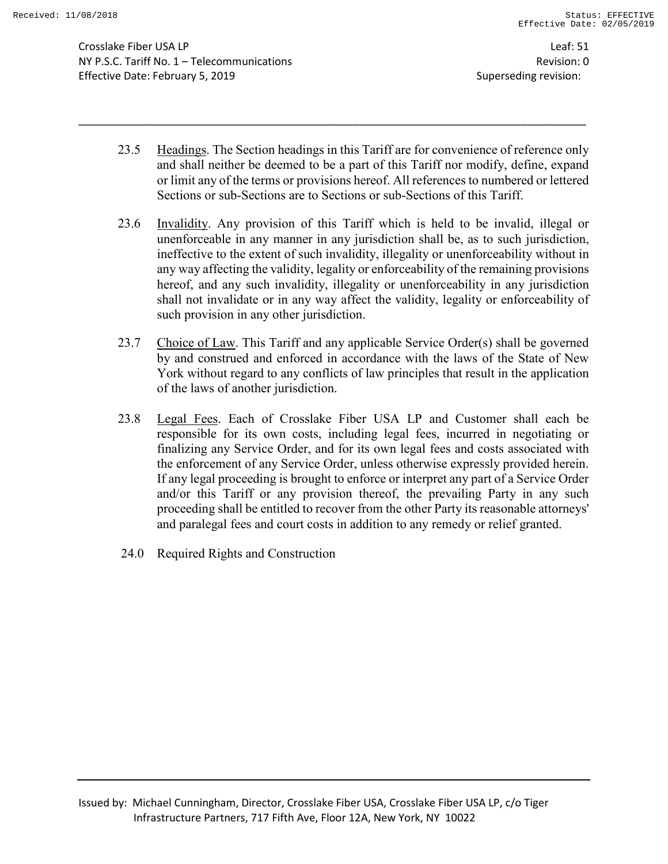Crosslake Fiber USA LP Leaf: 51 NY P.S.C. Tariff No. 1 – Telecommunications Revision: 0 Effective Date: February 5, 2019 Superseding revision:

23.5 Headings. The Section headings in this Tariff are for convenience of reference only and shall neither be deemed to be a part of this Tariff nor modify, define, expand or limit any of the terms or provisions hereof. All references to numbered or lettered Sections or sub-Sections are to Sections or sub-Sections of this Tariff.

- 23.6 Invalidity. Any provision of this Tariff which is held to be invalid, illegal or unenforceable in any manner in any jurisdiction shall be, as to such jurisdiction, ineffective to the extent of such invalidity, illegality or unenforceability without in any way affecting the validity, legality or enforceability of the remaining provisions hereof, and any such invalidity, illegality or unenforceability in any jurisdiction shall not invalidate or in any way affect the validity, legality or enforceability of such provision in any other jurisdiction.
- 23.7 Choice of Law. This Tariff and any applicable Service Order(s) shall be governed by and construed and enforced in accordance with the laws of the State of New York without regard to any conflicts of law principles that result in the application of the laws of another jurisdiction.
- 23.8 Legal Fees. Each of Crosslake Fiber USA LP and Customer shall each be responsible for its own costs, including legal fees, incurred in negotiating or finalizing any Service Order, and for its own legal fees and costs associated with the enforcement of any Service Order, unless otherwise expressly provided herein. If any legal proceeding is brought to enforce or interpret any part of a Service Order and/or this Tariff or any provision thereof, the prevailing Party in any such proceeding shall be entitled to recover from the other Party its reasonable attorneys' and paralegal fees and court costs in addition to any remedy or relief granted.
- 24.0 Required Rights and Construction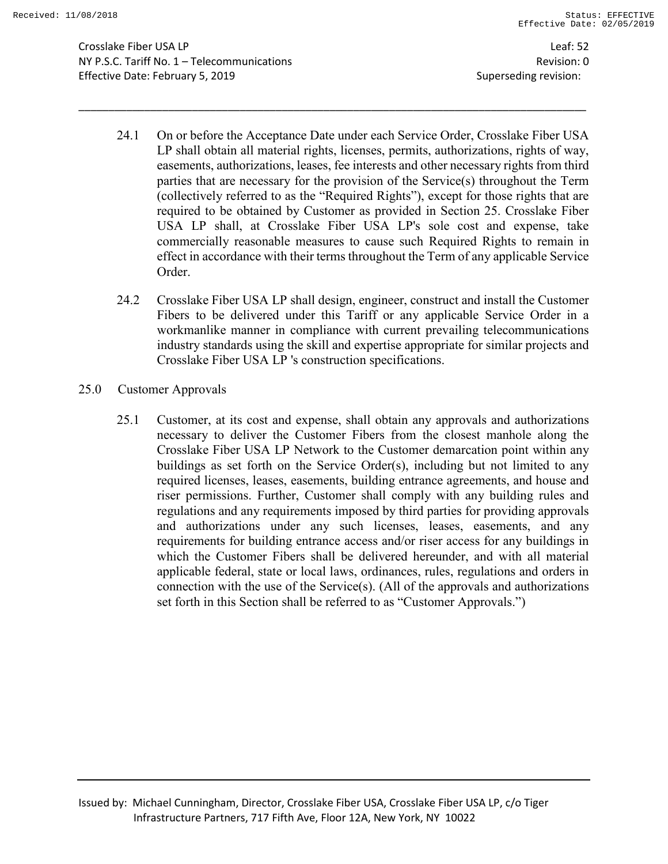Crosslake Fiber USA LP Leaf: 52 NY P.S.C. Tariff No. 1 – Telecommunications Revision: 0 Effective Date: February 5, 2019 Superseding revision:

24.1 On or before the Acceptance Date under each Service Order, Crosslake Fiber USA LP shall obtain all material rights, licenses, permits, authorizations, rights of way, easements, authorizations, leases, fee interests and other necessary rights from third parties that are necessary for the provision of the Service(s) throughout the Term (collectively referred to as the "Required Rights"), except for those rights that are required to be obtained by Customer as provided in Section 25. Crosslake Fiber USA LP shall, at Crosslake Fiber USA LP's sole cost and expense, take commercially reasonable measures to cause such Required Rights to remain in effect in accordance with their terms throughout the Term of any applicable Service Order.

- 24.2 Crosslake Fiber USA LP shall design, engineer, construct and install the Customer Fibers to be delivered under this Tariff or any applicable Service Order in a workmanlike manner in compliance with current prevailing telecommunications industry standards using the skill and expertise appropriate for similar projects and Crosslake Fiber USA LP 's construction specifications.
- 25.0 Customer Approvals
	- 25.1 Customer, at its cost and expense, shall obtain any approvals and authorizations necessary to deliver the Customer Fibers from the closest manhole along the Crosslake Fiber USA LP Network to the Customer demarcation point within any buildings as set forth on the Service Order(s), including but not limited to any required licenses, leases, easements, building entrance agreements, and house and riser permissions. Further, Customer shall comply with any building rules and regulations and any requirements imposed by third parties for providing approvals and authorizations under any such licenses, leases, easements, and any requirements for building entrance access and/or riser access for any buildings in which the Customer Fibers shall be delivered hereunder, and with all material applicable federal, state or local laws, ordinances, rules, regulations and orders in connection with the use of the Service(s). (All of the approvals and authorizations set forth in this Section shall be referred to as "Customer Approvals.")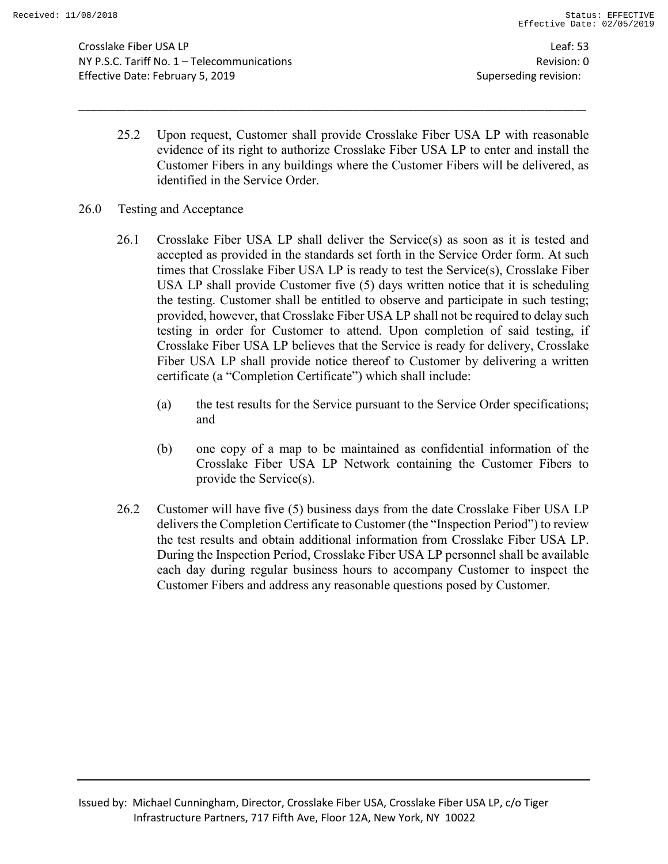Crosslake Fiber USA LP Leaf: 53 NY P.S.C. Tariff No. 1 – Telecommunications Revision: 0 Effective Date: February 5, 2019 Superseding revision:

25.2 Upon request, Customer shall provide Crosslake Fiber USA LP with reasonable evidence of its right to authorize Crosslake Fiber USA LP to enter and install the Customer Fibers in any buildings where the Customer Fibers will be delivered, as identified in the Service Order.

- 26.0 Testing and Acceptance
	- 26.1 Crosslake Fiber USA LP shall deliver the Service(s) as soon as it is tested and accepted as provided in the standards set forth in the Service Order form. At such times that Crosslake Fiber USA LP is ready to test the Service(s), Crosslake Fiber USA LP shall provide Customer five (5) days written notice that it is scheduling the testing. Customer shall be entitled to observe and participate in such testing; provided, however, that Crosslake Fiber USA LP shall not be required to delay such testing in order for Customer to attend. Upon completion of said testing, if Crosslake Fiber USA LP believes that the Service is ready for delivery, Crosslake Fiber USA LP shall provide notice thereof to Customer by delivering a written certificate (a "Completion Certificate") which shall include:
		- (a) the test results for the Service pursuant to the Service Order specifications; and
		- (b) one copy of a map to be maintained as confidential information of the Crosslake Fiber USA LP Network containing the Customer Fibers to provide the Service(s).
	- 26.2 Customer will have five (5) business days from the date Crosslake Fiber USA LP delivers the Completion Certificate to Customer (the "Inspection Period") to review the test results and obtain additional information from Crosslake Fiber USA LP. During the Inspection Period, Crosslake Fiber USA LP personnel shall be available each day during regular business hours to accompany Customer to inspect the Customer Fibers and address any reasonable questions posed by Customer.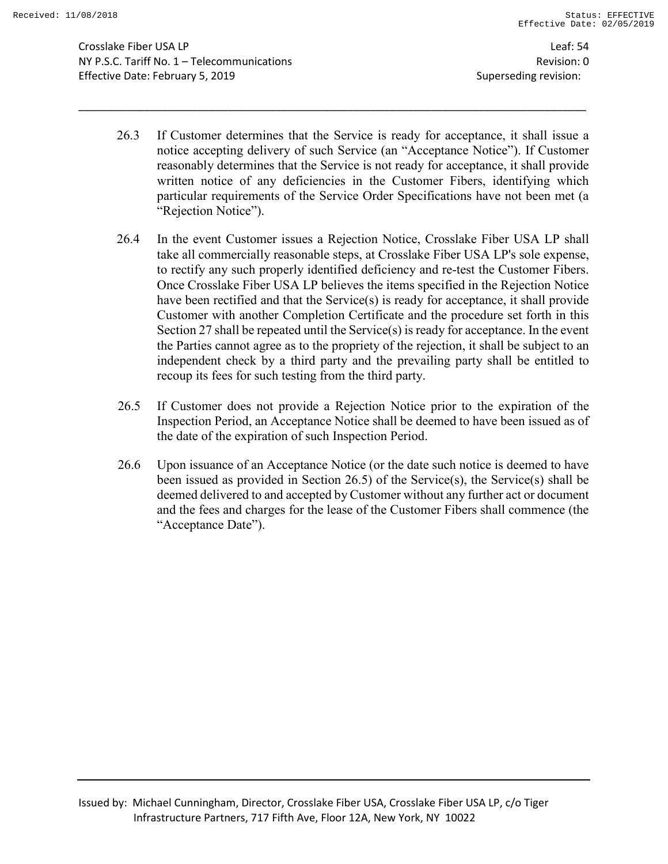Crosslake Fiber USA LP Leaf: 54 NY P.S.C. Tariff No. 1 – Telecommunications Revision: 0 Effective Date: February 5, 2019 Superseding revision:

26.3 If Customer determines that the Service is ready for acceptance, it shall issue a notice accepting delivery of such Service (an "Acceptance Notice"). If Customer reasonably determines that the Service is not ready for acceptance, it shall provide written notice of any deficiencies in the Customer Fibers, identifying which particular requirements of the Service Order Specifications have not been met (a "Rejection Notice").

- 26.4 In the event Customer issues a Rejection Notice, Crosslake Fiber USA LP shall take all commercially reasonable steps, at Crosslake Fiber USA LP's sole expense, to rectify any such properly identified deficiency and re-test the Customer Fibers. Once Crosslake Fiber USA LP believes the items specified in the Rejection Notice have been rectified and that the Service(s) is ready for acceptance, it shall provide Customer with another Completion Certificate and the procedure set forth in this Section 27 shall be repeated until the Service(s) is ready for acceptance. In the event the Parties cannot agree as to the propriety of the rejection, it shall be subject to an independent check by a third party and the prevailing party shall be entitled to recoup its fees for such testing from the third party.
- 26.5 If Customer does not provide a Rejection Notice prior to the expiration of the Inspection Period, an Acceptance Notice shall be deemed to have been issued as of the date of the expiration of such Inspection Period.
- 26.6 Upon issuance of an Acceptance Notice (or the date such notice is deemed to have been issued as provided in Section 26.5) of the Service(s), the Service(s) shall be deemed delivered to and accepted by Customer without any further act or document and the fees and charges for the lease of the Customer Fibers shall commence (the "Acceptance Date").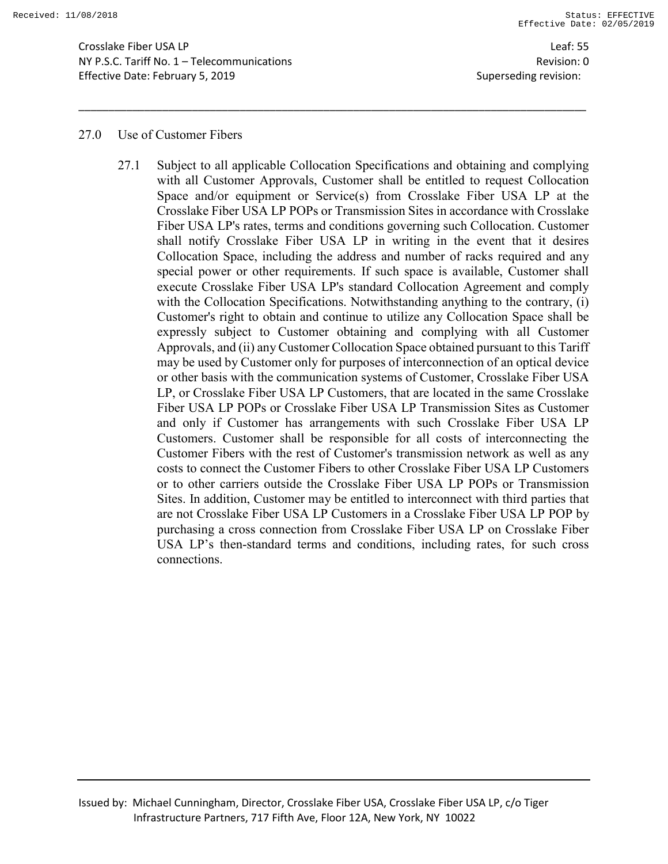Crosslake Fiber USA LP Leaf: 55 NY P.S.C. Tariff No. 1 – Telecommunications Revision: 0 Effective Date: February 5, 2019 **Superseding revision:** Superseding revision:

#### 27.0 Use of Customer Fibers

27.1 Subject to all applicable Collocation Specifications and obtaining and complying with all Customer Approvals, Customer shall be entitled to request Collocation Space and/or equipment or Service(s) from Crosslake Fiber USA LP at the Crosslake Fiber USA LP POPs or Transmission Sites in accordance with Crosslake Fiber USA LP's rates, terms and conditions governing such Collocation. Customer shall notify Crosslake Fiber USA LP in writing in the event that it desires Collocation Space, including the address and number of racks required and any special power or other requirements. If such space is available, Customer shall execute Crosslake Fiber USA LP's standard Collocation Agreement and comply with the Collocation Specifications. Notwithstanding anything to the contrary, (i) Customer's right to obtain and continue to utilize any Collocation Space shall be expressly subject to Customer obtaining and complying with all Customer Approvals, and (ii) any Customer Collocation Space obtained pursuant to this Tariff may be used by Customer only for purposes of interconnection of an optical device or other basis with the communication systems of Customer, Crosslake Fiber USA LP, or Crosslake Fiber USA LP Customers, that are located in the same Crosslake Fiber USA LP POPs or Crosslake Fiber USA LP Transmission Sites as Customer and only if Customer has arrangements with such Crosslake Fiber USA LP Customers. Customer shall be responsible for all costs of interconnecting the Customer Fibers with the rest of Customer's transmission network as well as any costs to connect the Customer Fibers to other Crosslake Fiber USA LP Customers or to other carriers outside the Crosslake Fiber USA LP POPs or Transmission Sites. In addition, Customer may be entitled to interconnect with third parties that are not Crosslake Fiber USA LP Customers in a Crosslake Fiber USA LP POP by purchasing a cross connection from Crosslake Fiber USA LP on Crosslake Fiber USA LP's then-standard terms and conditions, including rates, for such cross connections.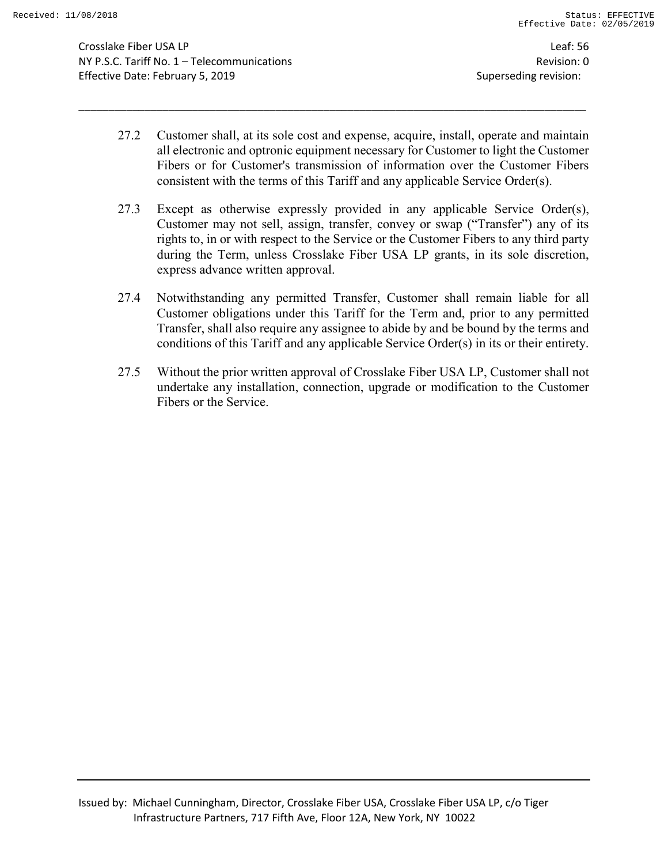Crosslake Fiber USA LP Leaf: 56 NY P.S.C. Tariff No. 1 – Telecommunications Revision: 0 Effective Date: February 5, 2019 Superseding revision:

27.2 Customer shall, at its sole cost and expense, acquire, install, operate and maintain all electronic and optronic equipment necessary for Customer to light the Customer Fibers or for Customer's transmission of information over the Customer Fibers consistent with the terms of this Tariff and any applicable Service Order(s).

- 27.3 Except as otherwise expressly provided in any applicable Service Order(s), Customer may not sell, assign, transfer, convey or swap ("Transfer") any of its rights to, in or with respect to the Service or the Customer Fibers to any third party during the Term, unless Crosslake Fiber USA LP grants, in its sole discretion, express advance written approval.
- 27.4 Notwithstanding any permitted Transfer, Customer shall remain liable for all Customer obligations under this Tariff for the Term and, prior to any permitted Transfer, shall also require any assignee to abide by and be bound by the terms and conditions of this Tariff and any applicable Service Order(s) in its or their entirety.
- 27.5 Without the prior written approval of Crosslake Fiber USA LP, Customer shall not undertake any installation, connection, upgrade or modification to the Customer Fibers or the Service.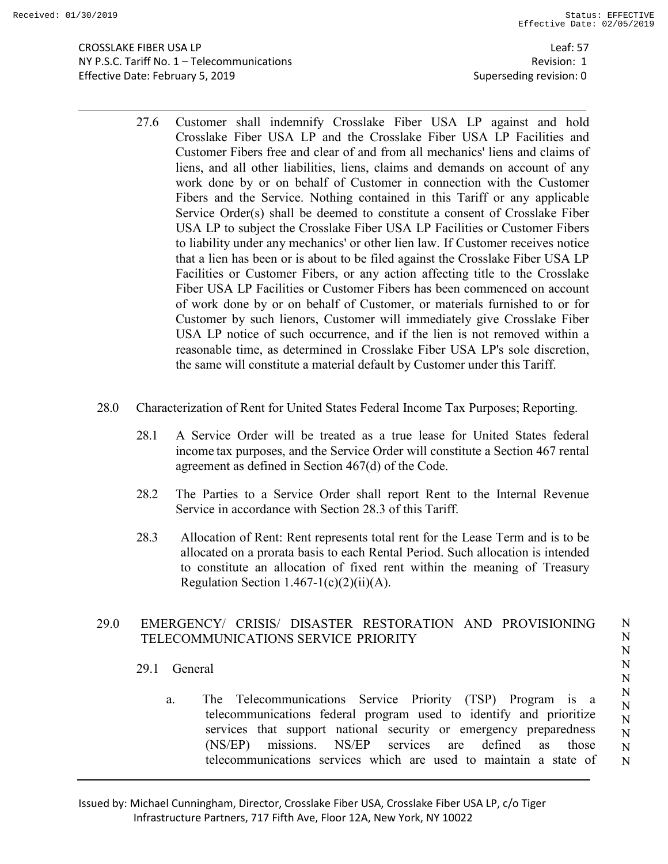Leaf: 57 Revision: 1 Superseding revision: 0

- 27.6 Customer shall indemnify Crosslake Fiber USA LP against and hold Crosslake Fiber USA LP and the Crosslake Fiber USA LP Facilities and Customer Fibers free and clear of and from all mechanics' liens and claims of liens, and all other liabilities, liens, claims and demands on account of any work done by or on behalf of Customer in connection with the Customer Fibers and the Service. Nothing contained in this Tariff or any applicable Service Order(s) shall be deemed to constitute a consent of Crosslake Fiber USA LP to subject the Crosslake Fiber USA LP Facilities or Customer Fibers to liability under any mechanics' or other lien law. If Customer receives notice that a lien has been or is about to be filed against the Crosslake Fiber USA LP Facilities or Customer Fibers, or any action affecting title to the Crosslake Fiber USA LP Facilities or Customer Fibers has been commenced on account of work done by or on behalf of Customer, or materials furnished to or for Customer by such lienors, Customer will immediately give Crosslake Fiber USA LP notice of such occurrence, and if the lien is not removed within a reasonable time, as determined in Crosslake Fiber USA LP's sole discretion, the same will constitute a material default by Customer under this Tariff.
- 28.0 Characterization of Rent for United States Federal Income Tax Purposes; Reporting.
	- 28.1 A Service Order will be treated as a true lease for United States federal income tax purposes, and the Service Order will constitute a Section 467 rental agreement as defined in Section 467(d) of the Code.
	- 28.2 The Parties to a Service Order shall report Rent to the Internal Revenue Service in accordance with Section 28.3 of this Tariff.
	- 28.3 Allocation of Rent: Rent represents total rent for the Lease Term and is to be allocated on a prorata basis to each Rental Period. Such allocation is intended to constitute an allocation of fixed rent within the meaning of Treasury Regulation Section  $1.467 - 1(c)(2)(ii)(A)$ .

## 29.0 EMERGENCY/ CRISIS/ DISASTER RESTORATION AND PROVISIONING TELECOMMUNICATIONS SERVICE PRIORITY

- 29.1 General
	- a. The Telecommunications Service Priority (TSP) Program is a telecommunications federal program used to identify and prioritize services that support national security or emergency preparedness (NS/EP) missions. NS/EP services are defined as those telecommunications services which are used to maintain a state of N N N

N N

N N N N N N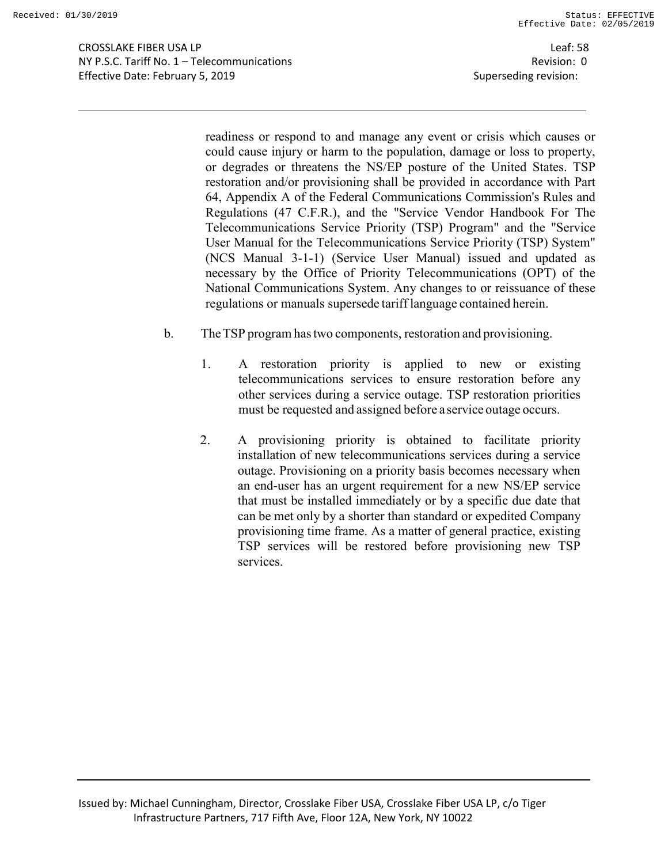Leaf: 58 Revision: 0 Superseding revision:

readiness or respond to and manage any event or crisis which causes or could cause injury or harm to the population, damage or loss to property, or degrades or threatens the NS/EP posture of the United States. TSP restoration and/or provisioning shall be provided in accordance with Part 64, Appendix A of the Federal Communications Commission's Rules and Regulations (47 C.F.R.), and the "Service Vendor Handbook For The Telecommunications Service Priority (TSP) Program" and the "Service User Manual for the Telecommunications Service Priority (TSP) System" (NCS Manual 3-1-1) (Service User Manual) issued and updated as necessary by the Office of Priority Telecommunications (OPT) of the National Communications System. Any changes to or reissuance of these regulations or manuals supersede tariff language contained herein.

- b. TheTSP program hastwo components, restoration and provisioning.
	- 1. A restoration priority is applied to new or existing telecommunications services to ensure restoration before any other services during a service outage. TSP restoration priorities must be requested and assigned before a service outage occurs.
	- 2. A provisioning priority is obtained to facilitate priority installation of new telecommunications services during a service outage. Provisioning on a priority basis becomes necessary when an end-user has an urgent requirement for a new NS/EP service that must be installed immediately or by a specific due date that can be met only by a shorter than standard or expedited Company provisioning time frame. As a matter of general practice, existing TSP services will be restored before provisioning new TSP services.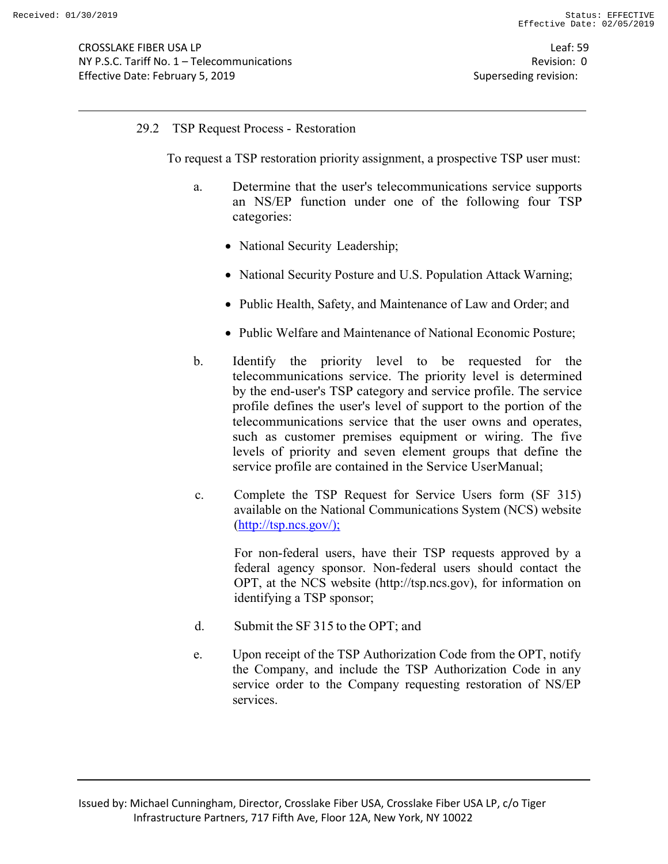## 29.2 TSP Request Process - Restoration

To request a TSP restoration priority assignment, a prospective TSP user must:

- a. Determine that the user's telecommunications service supports an NS/EP function under one of the following four TSP categories:
	- National Security Leadership;
	- National Security Posture and U.S. Population Attack Warning;
	- Public Health, Safety, and Maintenance of Law and Order; and
	- Public Welfare and Maintenance of National Economic Posture;
- b. Identify the priority level to be requested for the telecommunications service. The priority level is determined by the end-user's TSP category and service profile. The service profile defines the user's level of support to the portion of the telecommunications service that the user owns and operates, such as customer premises equipment or wiring. The five levels of priority and seven element groups that define the service profile are contained in the Service UserManual;
- c. Complete the TSP Request for Service Users form (SF 315) available on the National Communications System (NCS) website (http://tsp.ncs.gov/);

For non-federal users, have their TSP requests approved by a federal agency sponsor. Non-federal users should contact the OPT, at the NCS website (http://tsp.ncs.gov), for information on identifying a TSP sponsor;

- d. Submit the SF 315 to the OPT; and
- e. Upon receipt of the TSP Authorization Code from the OPT, notify the Company, and include the TSP Authorization Code in any service order to the Company requesting restoration of NS/EP services.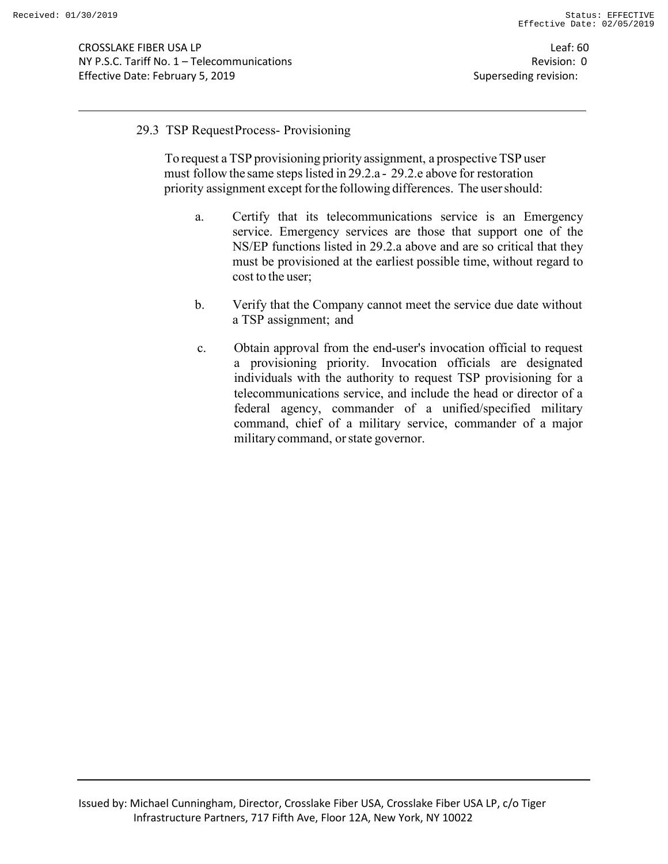#### 29.3 TSP RequestProcess- Provisioning

To request a TSP provisioning priority assignment, a prospective TSP user must follow the same steps listed in 29.2.a - 29.2.e above for restoration priority assignment except forthe following differences. The usershould:

- a. Certify that its telecommunications service is an Emergency service. Emergency services are those that support one of the NS/EP functions listed in 29.2.a above and are so critical that they must be provisioned at the earliest possible time, without regard to cost to the user;
- b. Verify that the Company cannot meet the service due date without a TSP assignment; and
- c. Obtain approval from the end-user's invocation official to request a provisioning priority. Invocation officials are designated individuals with the authority to request TSP provisioning for a telecommunications service, and include the head or director of a federal agency, commander of a unified/specified military command, chief of a military service, commander of a major military command, orstate governor.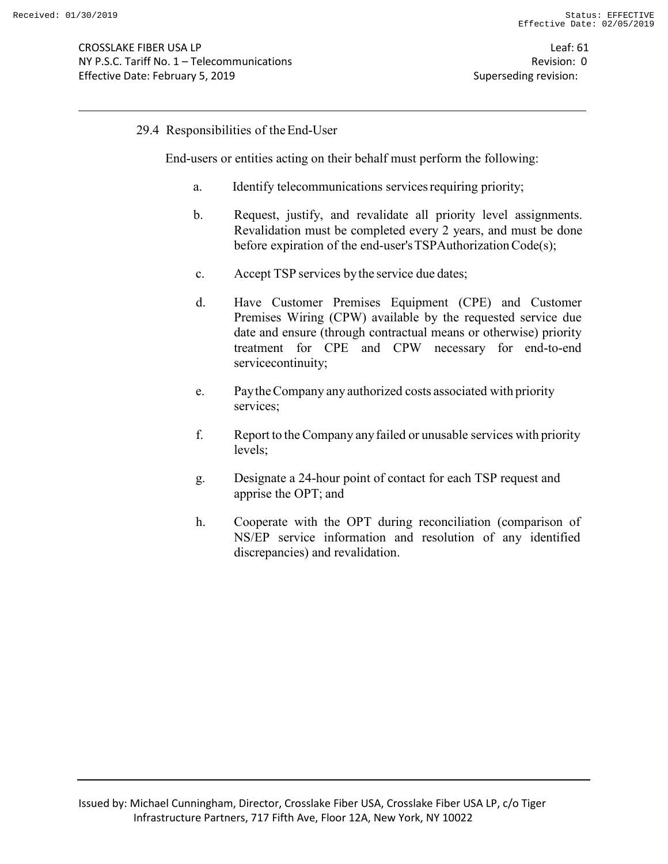## 29.4 Responsibilities of theEnd-User

End-users or entities acting on their behalf must perform the following:

- a. Identify telecommunications servicesrequiring priority;
- b. Request, justify, and revalidate all priority level assignments. Revalidation must be completed every 2 years, and must be done before expiration of the end-user's TSPAuthorization Code(s);
- c. Accept TSP services bythe service due dates;
- d. Have Customer Premises Equipment (CPE) and Customer Premises Wiring (CPW) available by the requested service due date and ensure (through contractual means or otherwise) priority treatment for CPE and CPW necessary for end-to-end servicecontinuity;
- e. PaytheCompany any authorized costs associated with priority services;
- f. Report to theCompany anyfailed or unusable services with priority levels;
- g. Designate a 24-hour point of contact for each TSP request and apprise the OPT; and
- h. Cooperate with the OPT during reconciliation (comparison of NS/EP service information and resolution of any identified discrepancies) and revalidation.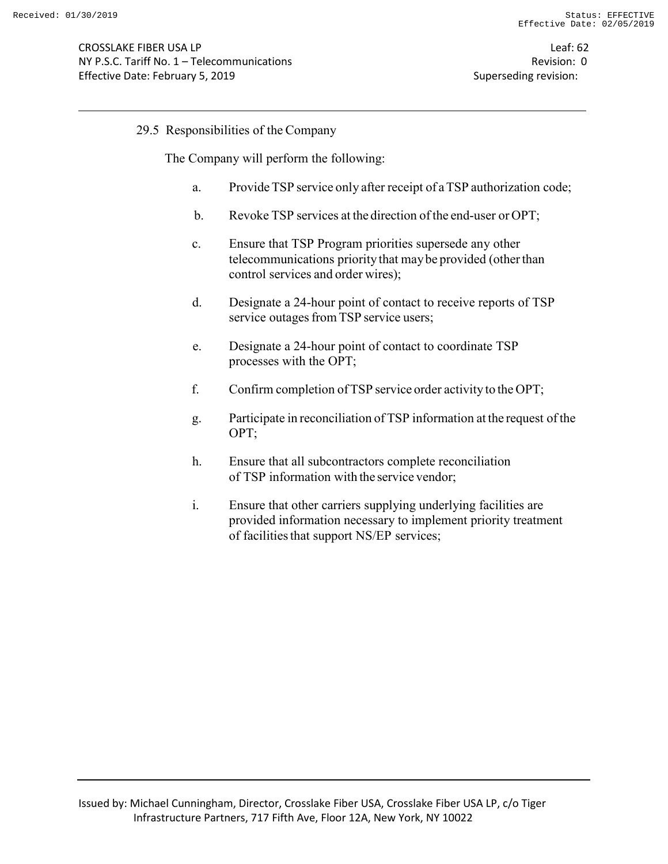## 29.5 Responsibilities of the Company

The Company will perform the following:

- a. ProvideTSP service only after receipt of aTSP authorization code;
- b. Revoke TSP services at the direction of the end-user or OPT;
- c. Ensure that TSP Program priorities supersede any other telecommunications priority that maybe provided (otherthan control services and order wires);
- d. Designate a 24-hour point of contact to receive reports of TSP service outages from TSP service users;
- e. Designate a 24-hour point of contact to coordinate TSP processes with the OPT;
- f. Confirm completion ofTSP service order activity to the OPT;
- g. Participate in reconciliation of TSP information at the request ofthe OPT;
- h. Ensure that all subcontractors complete reconciliation of TSP information with the service vendor;
- i. Ensure that other carriers supplying underlying facilities are provided information necessary to implement priority treatment of facilitiesthat support NS/EP services;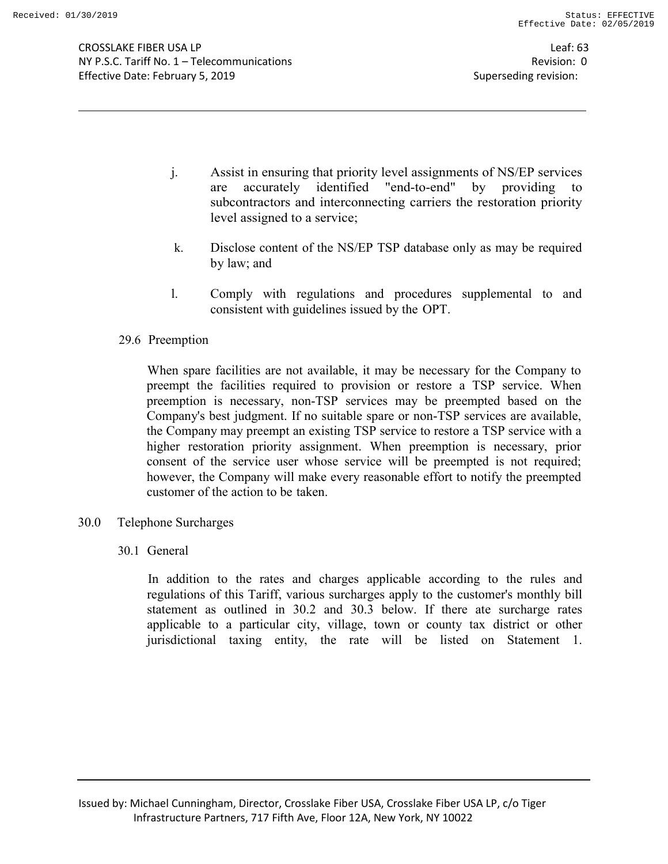- j. Assist in ensuring that priority level assignments of NS/EP services are accurately identified "end-to-end" by providing to subcontractors and interconnecting carriers the restoration priority level assigned to a service;
- k. Disclose content of the NS/EP TSP database only as may be required by law; and
- l. Comply with regulations and procedures supplemental to and consistent with guidelines issued by the OPT.
- 29.6 Preemption

When spare facilities are not available, it may be necessary for the Company to preempt the facilities required to provision or restore a TSP service. When preemption is necessary, non-TSP services may be preempted based on the Company's best judgment. If no suitable spare or non-TSP services are available, the Company may preempt an existing TSP service to restore a TSP service with a higher restoration priority assignment. When preemption is necessary, prior consent of the service user whose service will be preempted is not required; however, the Company will make every reasonable effort to notify the preempted customer of the action to be taken.

- 30.0 Telephone Surcharges
	- 30.1 General

In addition to the rates and charges applicable according to the rules and regulations of this Tariff, various surcharges apply to the customer's monthly bill statement as outlined in 30.2 and 30.3 below. If there ate surcharge rates applicable to a particular city, village, town or county tax district or other jurisdictional taxing entity, the rate will be listed on Statement 1.